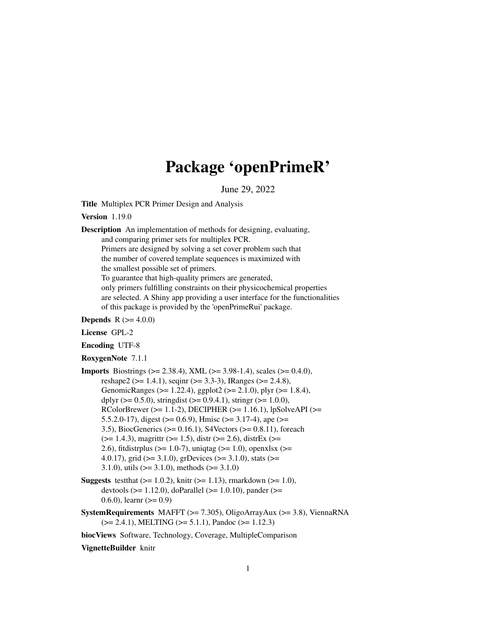## Package 'openPrimeR'

June 29, 2022

Title Multiplex PCR Primer Design and Analysis

Version 1.19.0

Description An implementation of methods for designing, evaluating,

and comparing primer sets for multiplex PCR.

Primers are designed by solving a set cover problem such that the number of covered template sequences is maximized with the smallest possible set of primers.

To guarantee that high-quality primers are generated,

only primers fulfilling constraints on their physicochemical properties are selected. A Shiny app providing a user interface for the functionalities of this package is provided by the 'openPrimeRui' package.

**Depends** R  $(>= 4.0.0)$ 

License GPL-2

Encoding UTF-8

RoxygenNote 7.1.1

```
Imports Biostrings (>= 2.38.4), XML (>= 3.98-1.4), scales (>= 0.4.0),
      reshape2 (>= 1.4.1), seqinr (>= 3.3-3), IRanges (>= 2.4.8),
      GenomicRanges (>= 1.22.4), ggplot2 (>= 2.1.0), plyr (>= 1.8.4),
      dplyr (> = 0.5.0), stringdist (> = 0.9.4.1), stringr (> = 1.0.0),
      RColorBrewer (>= 1.1-2), DECIPHER (>= 1.16.1), lpSolveAPI (>=5.5.2.0-17), digest (> = 0.6.9), Hmisc (> = 3.17-4), ape (> =3.5), BiocGenerics (>= 0.16.1), S4Vectors (>= 0.8.11), foreach
      (>= 1.4.3), magrittr (>= 1.5), distr(>= 2.6), distrEx (>= 1.4.3)2.6), fitdistrplus (>= 1.0-7), uniqtag (>= 1.0), openxlsx (>= 1.04.0.17), grid (>= 3.1.0), grDevices (>= 3.1.0), stats (>=3.1.0), utils (> = 3.1.0), methods (> = 3.1.0)
```
- **Suggests** test that  $(>= 1.0.2)$ , knitr  $(>= 1.13)$ , rmarkdown  $(>= 1.0)$ , devtools ( $>= 1.12.0$ ), doParallel ( $>= 1.0.10$ ), pander ( $>=$ 0.6.0), learnr  $(>= 0.9)$
- SystemRequirements MAFFT ( $>= 7.305$ ), OligoArrayAux ( $>= 3.8$ ), ViennaRNA  $(>= 2.4.1)$ , MELTING  $(>= 5.1.1)$ , Pandoc  $(>= 1.12.3)$

biocViews Software, Technology, Coverage, MultipleComparison

VignetteBuilder knitr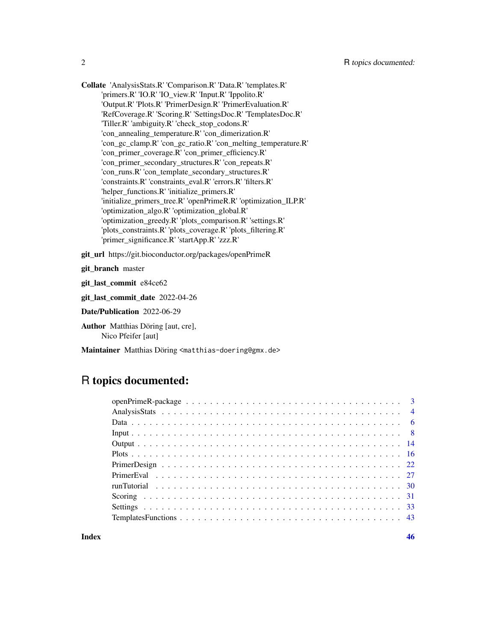Collate 'AnalysisStats.R' 'Comparison.R' 'Data.R' 'templates.R' 'primers.R' 'IO.R' 'IO\_view.R' 'Input.R' 'Ippolito.R' 'Output.R' 'Plots.R' 'PrimerDesign.R' 'PrimerEvaluation.R' 'RefCoverage.R' 'Scoring.R' 'SettingsDoc.R' 'TemplatesDoc.R' 'Tiller.R' 'ambiguity.R' 'check\_stop\_codons.R' 'con\_annealing\_temperature.R' 'con\_dimerization.R' 'con\_gc\_clamp.R' 'con\_gc\_ratio.R' 'con\_melting\_temperature.R' 'con\_primer\_coverage.R' 'con\_primer\_efficiency.R' 'con\_primer\_secondary\_structures.R' 'con\_repeats.R' 'con\_runs.R' 'con\_template\_secondary\_structures.R' 'constraints.R' 'constraints\_eval.R' 'errors.R' 'filters.R' 'helper\_functions.R' 'initialize\_primers.R' 'initialize\_primers\_tree.R' 'openPrimeR.R' 'optimization\_ILP.R' 'optimization\_algo.R' 'optimization\_global.R' 'optimization\_greedy.R' 'plots\_comparison.R' 'settings.R' 'plots\_constraints.R' 'plots\_coverage.R' 'plots\_filtering.R' 'primer\_significance.R' 'startApp.R' 'zzz.R'

git\_url https://git.bioconductor.org/packages/openPrimeR

git branch master

git\_last\_commit e84ce62

git\_last\_commit\_date 2022-04-26

Date/Publication 2022-06-29

Author Matthias Döring [aut, cre], Nico Pfeifer [aut]

Maintainer Matthias Döring <matthias-doering@gmx.de>

## R topics documented: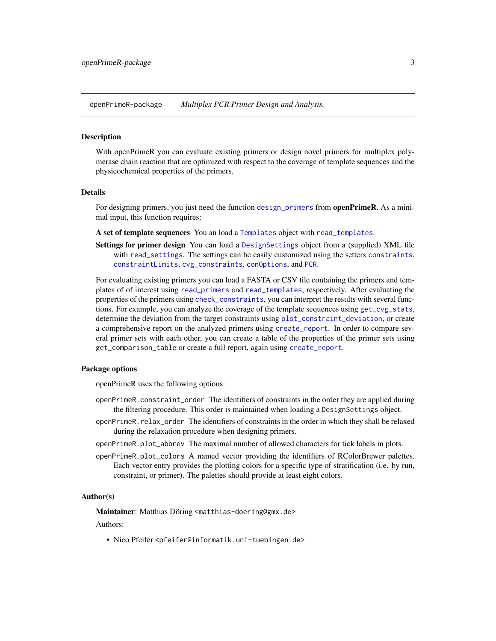<span id="page-2-0"></span>openPrimeR-package *Multiplex PCR Primer Design and Analysis.*

#### Description

With openPrimeR you can evaluate existing primers or design novel primers for multiplex polymerase chain reaction that are optimized with respect to the coverage of template sequences and the physicochemical properties of the primers.

#### Details

For designing primers, you just need the function [design\\_primers](#page-21-1) from **openPrimeR**. As a minimal input, this function requires:

A set of template sequences You an load a [Templates](#page-7-1) object with [read\\_templates](#page-7-1).

Settings for primer design You can load a [DesignSettings](#page-32-1) object from a (supplied) XML file with [read\\_settings](#page-7-1). The settings can be easily customized using the setters [constraints](#page-32-1), [constraintLimits](#page-32-1), [cvg\\_constraints](#page-32-1), [conOptions](#page-32-1), and [PCR](#page-32-1).

For evaluating existing primers you can load a FASTA or CSV file containing the primers and templates of of interest using [read\\_primers](#page-7-1) and [read\\_templates](#page-7-1), respectively. After evaluating the properties of the primers using [check\\_constraints](#page-26-1), you can interpret the results with several functions. For example, you can analyze the coverage of the template sequences using [get\\_cvg\\_stats](#page-3-1), determine the deviation from the target constraints using [plot\\_constraint\\_deviation](#page-15-1), or create a comprehensive report on the analyzed primers using [create\\_report](#page-13-1). In order to compare several primer sets with each other, you can create a table of the properties of the primer sets using get\_comparison\_table or create a full report, again using [create\\_report](#page-13-1).

## Package options

openPrimeR uses the following options:

- openPrimeR.constraint\_order The identifiers of constraints in the order they are applied during the filtering procedure. This order is maintained when loading a DesignSettings object.
- openPrimeR.relax\_order The identifiers of constraints in the order in which they shall be relaxed during the relaxation procedure when designing primers.
- openPrimeR.plot\_abbrev The maximal number of allowed characters for tick labels in plots.
- openPrimeR.plot\_colors A named vector providing the identifiers of RColorBrewer palettes. Each vector entry provides the plotting colors for a specific type of stratification (i.e. by run, constraint, or primer). The palettes should provide at least eight colors.

#### Author(s)

Maintainer: Matthias Döring <matthias-doering@gmx.de>

Authors:

• Nico Pfeifer <pfeifer@informatik.uni-tuebingen.de>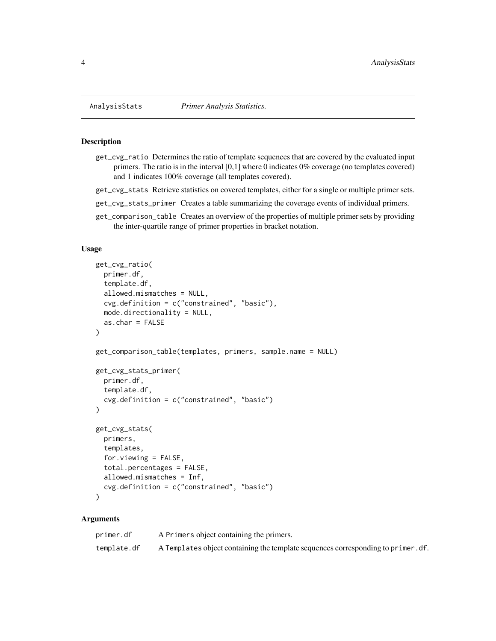## <span id="page-3-1"></span>Description

- get\_cvg\_ratio Determines the ratio of template sequences that are covered by the evaluated input primers. The ratio is in the interval [0,1] where 0 indicates 0% coverage (no templates covered) and 1 indicates 100% coverage (all templates covered).
- get\_cvg\_stats Retrieve statistics on covered templates, either for a single or multiple primer sets.
- get\_cvg\_stats\_primer Creates a table summarizing the coverage events of individual primers.
- get\_comparison\_table Creates an overview of the properties of multiple primer sets by providing the inter-quartile range of primer properties in bracket notation.

## Usage

```
get_cvg_ratio(
 primer.df,
  template.df,
  allowed.mismatches = NULL,
  cvg.definition = c("constrained", "basic"),
 mode.directionality = NULL,
 as.char = FALSE)
get_comparison_table(templates, primers, sample.name = NULL)
get_cvg_stats_primer(
 primer.df,
  template.df,
 cvg.definition = c("constrained", "basic")
\lambdaget_cvg_stats(
 primers,
  templates,
  for.viewing = FALSE,
  total.percentages = FALSE,
  allowed.mismatches = Inf,
  cvg.definition = c("constrained", "basic")
)
```
## Arguments

| primer.df   | A Primers object containing the primers.                                          |
|-------------|-----------------------------------------------------------------------------------|
| template.df | A Templates object containing the template sequences corresponding to primer. df. |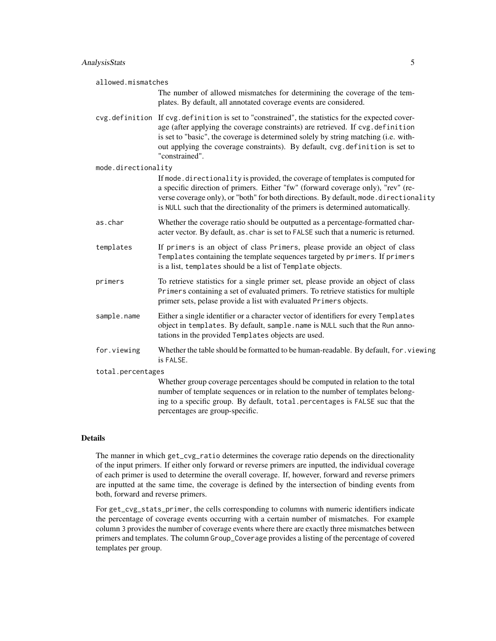| allowed.mismatches  | The number of allowed mismatches for determining the coverage of the tem-<br>plates. By default, all annotated coverage events are considered.                                                                                                                                                                                                                               |  |
|---------------------|------------------------------------------------------------------------------------------------------------------------------------------------------------------------------------------------------------------------------------------------------------------------------------------------------------------------------------------------------------------------------|--|
|                     | cvg.definition If cvg.definition is set to "constrained", the statistics for the expected cover-<br>age (after applying the coverage constraints) are retrieved. If cvg.definition<br>is set to "basic", the coverage is determined solely by string matching (i.e. with-<br>out applying the coverage constraints). By default, cvg. definition is set to<br>"constrained". |  |
| mode.directionality |                                                                                                                                                                                                                                                                                                                                                                              |  |
|                     | If mode. directionality is provided, the coverage of templates is computed for<br>a specific direction of primers. Either "fw" (forward coverage only), "rev" (re-<br>verse coverage only), or "both" for both directions. By default, mode. directionality<br>is NULL such that the directionality of the primers is determined automatically.                              |  |
| as.char             | Whether the coverage ratio should be outputted as a percentage-formatted char-<br>acter vector. By default, as . char is set to FALSE such that a numeric is returned.                                                                                                                                                                                                       |  |
| templates           | If primers is an object of class Primers, please provide an object of class<br>Templates containing the template sequences targeted by primers. If primers<br>is a list, templates should be a list of Template objects.                                                                                                                                                     |  |
| primers             | To retrieve statistics for a single primer set, please provide an object of class<br>Primers containing a set of evaluated primers. To retrieve statistics for multiple<br>primer sets, pelase provide a list with evaluated Primers objects.                                                                                                                                |  |
| sample.name         | Either a single identifier or a character vector of identifiers for every Templates<br>object in templates. By default, sample.name is NULL such that the Run anno-<br>tations in the provided Templates objects are used.                                                                                                                                                   |  |
| for.viewing         | Whether the table should be formatted to be human-readable. By default, for . viewing<br>is FALSE.                                                                                                                                                                                                                                                                           |  |
| total.percentages   |                                                                                                                                                                                                                                                                                                                                                                              |  |
|                     | Whether group coverage percentages should be computed in relation to the total<br>number of template sequences or in relation to the number of templates belong-<br>ing to a specific group. By default, total percentages is FALSE suc that the<br>percentages are group-specific.                                                                                          |  |

## Details

The manner in which get\_cvg\_ratio determines the coverage ratio depends on the directionality of the input primers. If either only forward or reverse primers are inputted, the individual coverage of each primer is used to determine the overall coverage. If, however, forward and reverse primers are inputted at the same time, the coverage is defined by the intersection of binding events from both, forward and reverse primers.

For get\_cvg\_stats\_primer, the cells corresponding to columns with numeric identifiers indicate the percentage of coverage events occurring with a certain number of mismatches. For example column 3 provides the number of coverage events where there are exactly three mismatches between primers and templates. The column Group\_Coverage provides a listing of the percentage of covered templates per group.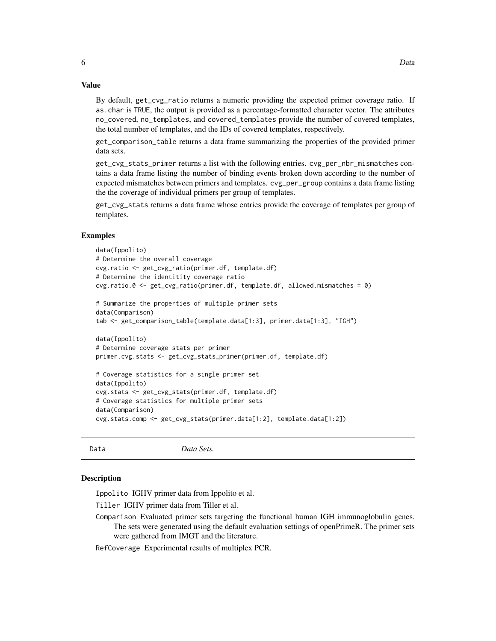<span id="page-5-0"></span>By default, get\_cvg\_ratio returns a numeric providing the expected primer coverage ratio. If as.char is TRUE, the output is provided as a percentage-formatted character vector. The attributes no\_covered, no\_templates, and covered\_templates provide the number of covered templates, the total number of templates, and the IDs of covered templates, respectively.

get\_comparison\_table returns a data frame summarizing the properties of the provided primer data sets.

get\_cvg\_stats\_primer returns a list with the following entries. cvg\_per\_nbr\_mismatches contains a data frame listing the number of binding events broken down according to the number of expected mismatches between primers and templates. cvg\_per\_group contains a data frame listing the the coverage of individual primers per group of templates.

get\_cvg\_stats returns a data frame whose entries provide the coverage of templates per group of templates.

#### Examples

```
data(Ippolito)
# Determine the overall coverage
cvg.ratio <- get_cvg_ratio(primer.df, template.df)
# Determine the identitity coverage ratio
cvg.ratio.0 <- get_cvg_ratio(primer.df, template.df, allowed.mismatches = 0)
# Summarize the properties of multiple primer sets
data(Comparison)
tab <- get_comparison_table(template.data[1:3], primer.data[1:3], "IGH")
data(Ippolito)
# Determine coverage stats per primer
primer.cvg.stats <- get_cvg_stats_primer(primer.df, template.df)
# Coverage statistics for a single primer set
data(Ippolito)
cvg.stats <- get_cvg_stats(primer.df, template.df)
# Coverage statistics for multiple primer sets
data(Comparison)
cvg.stats.comp <- get_cvg_stats(primer.data[1:2], template.data[1:2])
```
Data *Data Sets.*

#### **Description**

Ippolito IGHV primer data from Ippolito et al.

Tiller IGHV primer data from Tiller et al.

Comparison Evaluated primer sets targeting the functional human IGH immunoglobulin genes. The sets were generated using the default evaluation settings of openPrimeR. The primer sets were gathered from IMGT and the literature.

RefCoverage Experimental results of multiplex PCR.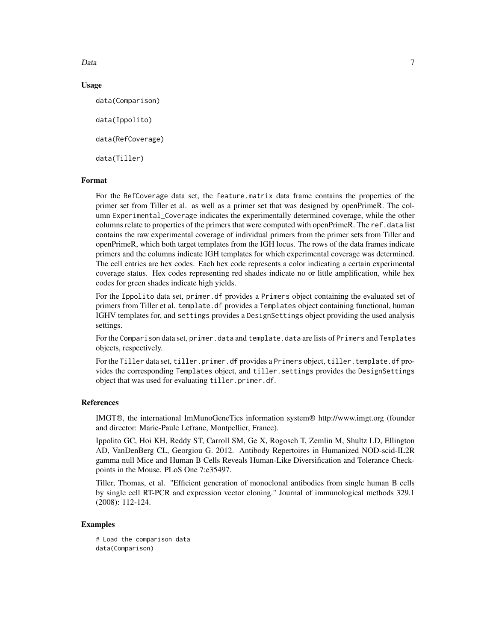Data and the contract of the contract of the contract of the contract of the contract of the contract of the contract of the contract of the contract of the contract of the contract of the contract of the contract of the c

## Usage

data(Comparison)

data(Ippolito)

data(RefCoverage)

data(Tiller)

#### Format

For the RefCoverage data set, the feature.matrix data frame contains the properties of the primer set from Tiller et al. as well as a primer set that was designed by openPrimeR. The column Experimental\_Coverage indicates the experimentally determined coverage, while the other columns relate to properties of the primers that were computed with openPrimeR. The ref.data list contains the raw experimental coverage of individual primers from the primer sets from Tiller and openPrimeR, which both target templates from the IGH locus. The rows of the data frames indicate primers and the columns indicate IGH templates for which experimental coverage was determined. The cell entries are hex codes. Each hex code represents a color indicating a certain experimental coverage status. Hex codes representing red shades indicate no or little amplification, while hex codes for green shades indicate high yields.

For the Ippolito data set, primer.df provides a Primers object containing the evaluated set of primers from Tiller et al. template.df provides a Templates object containing functional, human IGHV templates for, and settings provides a DesignSettings object providing the used analysis settings.

For the Comparison data set, primer.data and template.data are lists of Primers and Templates objects, respectively.

For the Tiller data set, tiller.primer.df provides a Primers object, tiller.template.df provides the corresponding Templates object, and tiller.settings provides the DesignSettings object that was used for evaluating tiller.primer.df.

#### References

IMGT®, the international ImMunoGeneTics information system® http://www.imgt.org (founder and director: Marie-Paule Lefranc, Montpellier, France).

Ippolito GC, Hoi KH, Reddy ST, Carroll SM, Ge X, Rogosch T, Zemlin M, Shultz LD, Ellington AD, VanDenBerg CL, Georgiou G. 2012. Antibody Repertoires in Humanized NOD-scid-IL2R gamma null Mice and Human B Cells Reveals Human-Like Diversification and Tolerance Checkpoints in the Mouse. PLoS One 7:e35497.

Tiller, Thomas, et al. "Efficient generation of monoclonal antibodies from single human B cells by single cell RT-PCR and expression vector cloning." Journal of immunological methods 329.1 (2008): 112-124.

## Examples

# Load the comparison data data(Comparison)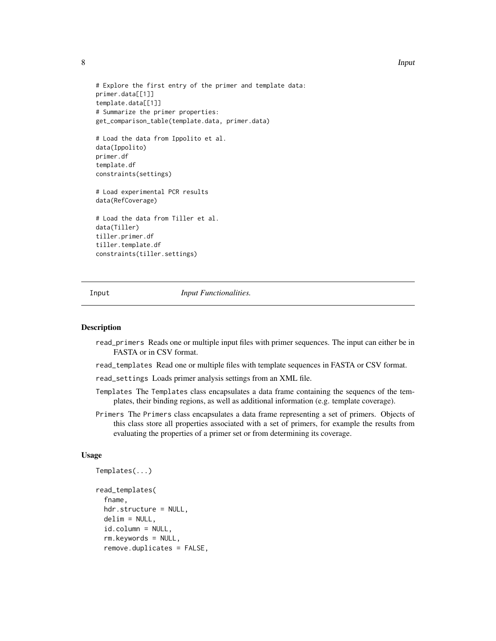```
# Explore the first entry of the primer and template data:
primer.data[[1]]
template.data[[1]]
# Summarize the primer properties:
get_comparison_table(template.data, primer.data)
# Load the data from Ippolito et al.
data(Ippolito)
primer.df
template.df
constraints(settings)
```
# Load experimental PCR results data(RefCoverage)

# Load the data from Tiller et al. data(Tiller) tiller.primer.df tiller.template.df constraints(tiller.settings)

Input *Input Functionalities.*

#### <span id="page-7-1"></span>Description

- read\_primers Reads one or multiple input files with primer sequences. The input can either be in FASTA or in CSV format.
- read\_templates Read one or multiple files with template sequences in FASTA or CSV format.

read\_settings Loads primer analysis settings from an XML file.

- Templates The Templates class encapsulates a data frame containing the sequencs of the templates, their binding regions, as well as additional information (e.g. template coverage).
- Primers The Primers class encapsulates a data frame representing a set of primers. Objects of this class store all properties associated with a set of primers, for example the results from evaluating the properties of a primer set or from determining its coverage.

## Usage

```
Templates(...)
read_templates(
  fname,
  hdr.structure = NULL,
  delim = NULL,
  id.column = NULL,
  rm.keywords = NULL,
  remove.duplicates = FALSE,
```
<span id="page-7-0"></span>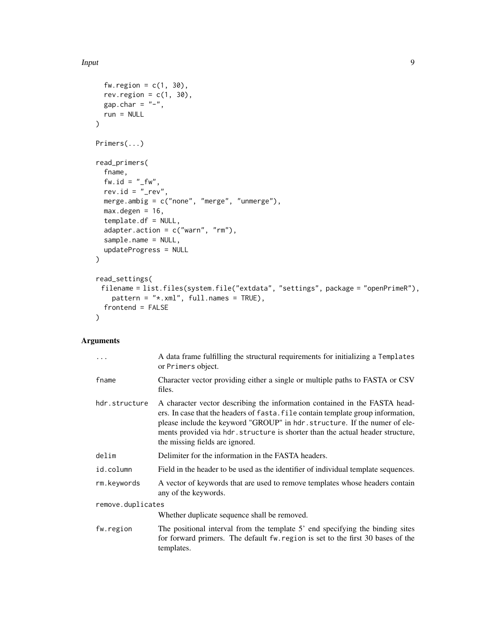```
fw.region = c(1, 30),
 rev.region = c(1, 30),
 gap.char = "-",
 run = NULL
\mathcal{L}Primers(...)
read_primers(
  fname,
 f w.id = " _f w",rev.id = "_rev",
 merge.ambig = c("none", "merge", "unmerge"),
 max.degen = 16,template.df = NULL,
  adapter.action = c("warn", "rm"),
  sample.name = NULL,
 updateProgress = NULL
\mathcal{L}read_settings(
 filename = list.files(system.file("extdata", "settings", package = "openPrimeR"),
    pattern = "*.xml", full.names = TRUE),
 frontend = FALSE
\mathcal{L}
```
## Arguments

| $\ddots$          | A data frame fulfilling the structural requirements for initializing a Templates<br>or Primers object.                                                                                                                                                                                                                                                           |  |
|-------------------|------------------------------------------------------------------------------------------------------------------------------------------------------------------------------------------------------------------------------------------------------------------------------------------------------------------------------------------------------------------|--|
| fname             | Character vector providing either a single or multiple paths to FASTA or CSV<br>files.                                                                                                                                                                                                                                                                           |  |
| hdr.structure     | A character vector describing the information contained in the FASTA head-<br>ers. In case that the headers of fasta. file contain template group information,<br>please include the keyword "GROUP" in hdr.structure. If the numer of ele-<br>ments provided via hdr. structure is shorter than the actual header structure,<br>the missing fields are ignored. |  |
| delim             | Delimiter for the information in the FASTA headers.                                                                                                                                                                                                                                                                                                              |  |
| id.column         | Field in the header to be used as the identifier of individual template sequences.                                                                                                                                                                                                                                                                               |  |
| rm.keywords       | A vector of keywords that are used to remove templates whose headers contain<br>any of the keywords.                                                                                                                                                                                                                                                             |  |
| remove.duplicates |                                                                                                                                                                                                                                                                                                                                                                  |  |
|                   | Whether duplicate sequence shall be removed.                                                                                                                                                                                                                                                                                                                     |  |
| fw.region         | The positional interval from the template 5' end specifying the binding sites<br>for forward primers. The default fw. region is set to the first 30 bases of the<br>templates.                                                                                                                                                                                   |  |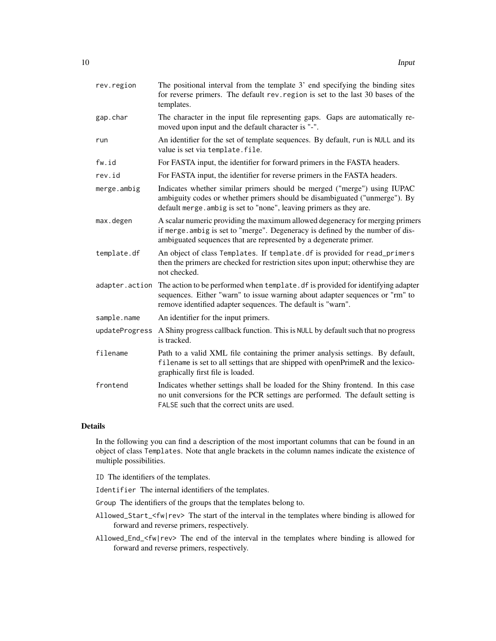| rev.region     | The positional interval from the template 3' end specifying the binding sites<br>for reverse primers. The default rev. region is set to the last 30 bases of the<br>templates.                                                                  |
|----------------|-------------------------------------------------------------------------------------------------------------------------------------------------------------------------------------------------------------------------------------------------|
| gap.char       | The character in the input file representing gaps. Gaps are automatically re-<br>moved upon input and the default character is "-".                                                                                                             |
| run            | An identifier for the set of template sequences. By default, run is NULL and its<br>value is set via template.file.                                                                                                                             |
| fw.id          | For FASTA input, the identifier for forward primers in the FASTA headers.                                                                                                                                                                       |
| rev.id         | For FASTA input, the identifier for reverse primers in the FASTA headers.                                                                                                                                                                       |
| merge.ambig    | Indicates whether similar primers should be merged ("merge") using IUPAC<br>ambiguity codes or whether primers should be disambiguated ("unmerge"). By<br>default merge. ambig is set to "none", leaving primers as they are.                   |
| max.degen      | A scalar numeric providing the maximum allowed degeneracy for merging primers<br>if merge. ambig is set to "merge". Degeneracy is defined by the number of dis-<br>ambiguated sequences that are represented by a degenerate primer.            |
| template.df    | An object of class Templates. If template. df is provided for read_primers<br>then the primers are checked for restriction sites upon input; otherwhise they are<br>not checked.                                                                |
|                | adapter. action The action to be performed when template. df is provided for identifying adapter<br>sequences. Either "warn" to issue warning about adapter sequences or "rm" to<br>remove identified adapter sequences. The default is "warn". |
| sample.name    | An identifier for the input primers.                                                                                                                                                                                                            |
| updateProgress | A Shiny progress callback function. This is NULL by default such that no progress<br>is tracked.                                                                                                                                                |
| filename       | Path to a valid XML file containing the primer analysis settings. By default,<br>filename is set to all settings that are shipped with openPrimeR and the lexico-<br>graphically first file is loaded.                                          |
| frontend       | Indicates whether settings shall be loaded for the Shiny frontend. In this case<br>no unit conversions for the PCR settings are performed. The default setting is<br>FALSE such that the correct units are used.                                |

## Details

In the following you can find a description of the most important columns that can be found in an object of class Templates. Note that angle brackets in the column names indicate the existence of multiple possibilities.

ID The identifiers of the templates.

Identifier The internal identifiers of the templates.

Group The identifiers of the groups that the templates belong to.

Allowed\_Start\_<fw|rev> The start of the interval in the templates where binding is allowed for forward and reverse primers, respectively.

Allowed\_End\_<fw|rev> The end of the interval in the templates where binding is allowed for forward and reverse primers, respectively.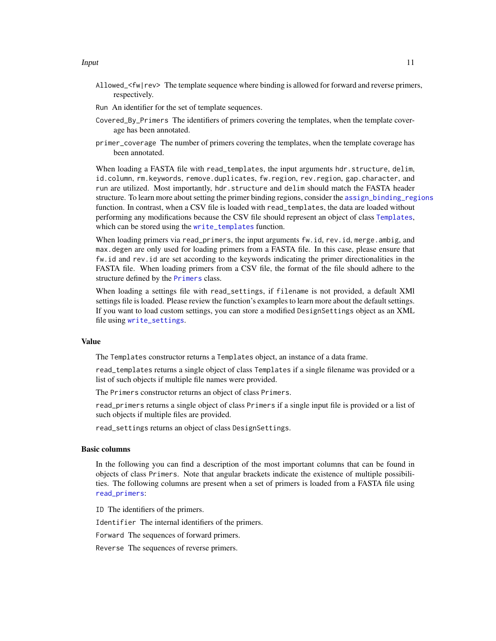- <span id="page-10-0"></span>Allowed\_<fw|rev> The template sequence where binding is allowed for forward and reverse primers, respectively.
- Run An identifier for the set of template sequences.
- Covered\_By\_Primers The identifiers of primers covering the templates, when the template coverage has been annotated.
- primer\_coverage The number of primers covering the templates, when the template coverage has been annotated.

When loading a FASTA file with read\_templates, the input arguments hdr.structure, delim, id.column, rm.keywords, remove.duplicates, fw.region, rev.region, gap.character, and run are utilized. Most importantly, hdr.structure and delim should match the FASTA header structure. To learn more about setting the primer binding regions, consider the [assign\\_binding\\_regions](#page-42-1) function. In contrast, when a CSV file is loaded with read\_templates, the data are loaded without performing any modifications because the CSV file should represent an object of class [Templates](#page-7-1), which can be stored using the [write\\_templates](#page-13-1) function.

When loading primers via read\_primers, the input arguments fw.id, rev.id, merge.ambig, and max.degen are only used for loading primers from a FASTA file. In this case, please ensure that fw.id and rev.id are set according to the keywords indicating the primer directionalities in the FASTA file. When loading primers from a CSV file, the format of the file should adhere to the structure defined by the [Primers](#page-7-1) class.

When loading a settings file with read\_settings, if filename is not provided, a default XMl settings file is loaded. Please review the function's examples to learn more about the default settings. If you want to load custom settings, you can store a modified DesignSettings object as an XML file using [write\\_settings](#page-13-1).

## Value

The Templates constructor returns a Templates object, an instance of a data frame.

read\_templates returns a single object of class Templates if a single filename was provided or a list of such objects if multiple file names were provided.

The Primers constructor returns an object of class Primers.

read\_primers returns a single object of class Primers if a single input file is provided or a list of such objects if multiple files are provided.

read\_settings returns an object of class DesignSettings.

## Basic columns

In the following you can find a description of the most important columns that can be found in objects of class Primers. Note that angular brackets indicate the existence of multiple possibilities. The following columns are present when a set of primers is loaded from a FASTA file using [read\\_primers](#page-7-1):

ID The identifiers of the primers.

Identifier The internal identifiers of the primers.

Forward The sequences of forward primers.

Reverse The sequences of reverse primers.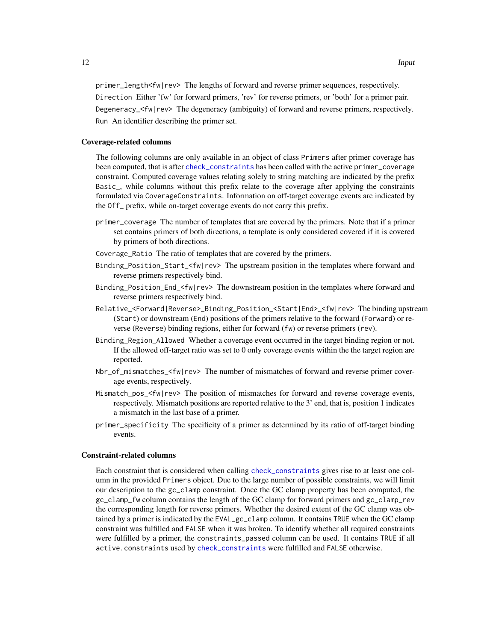<span id="page-11-0"></span>primer\_length<fw|rev> The lengths of forward and reverse primer sequences, respectively. Direction Either 'fw' for forward primers, 'rev' for reverse primers, or 'both' for a primer pair. Degeneracy\_<fw|rev> The degeneracy (ambiguity) of forward and reverse primers, respectively. Run An identifier describing the primer set.

## Coverage-related columns

The following columns are only available in an object of class Primers after primer coverage has been computed, that is after [check\\_constraints](#page-26-1) has been called with the active primer\_coverage constraint. Computed coverage values relating solely to string matching are indicated by the prefix Basic\_, while columns without this prefix relate to the coverage after applying the constraints formulated via CoverageConstraints. Information on off-target coverage events are indicated by the Off\_ prefix, while on-target coverage events do not carry this prefix.

- primer\_coverage The number of templates that are covered by the primers. Note that if a primer set contains primers of both directions, a template is only considered covered if it is covered by primers of both directions.
- Coverage\_Ratio The ratio of templates that are covered by the primers.
- Binding\_Position\_Start\_<fw|rev> The upstream position in the templates where forward and reverse primers respectively bind.
- Binding\_Position\_End\_<fw|rev> The downstream position in the templates where forward and reverse primers respectively bind.
- Relative\_<Forward|Reverse>\_Binding\_Position\_<Start|End>\_<fw|rev> The binding upstream (Start) or downstream (End) positions of the primers relative to the forward (Forward) or reverse (Reverse) binding regions, either for forward (fw) or reverse primers (rev).
- Binding\_Region\_Allowed Whether a coverage event occurred in the target binding region or not. If the allowed off-target ratio was set to 0 only coverage events within the the target region are reported.
- Nbr\_of\_mismatches\_<fw|rev> The number of mismatches of forward and reverse primer coverage events, respectively.
- Mismatch\_pos\_<fw|rev> The position of mismatches for forward and reverse coverage events, respectively. Mismatch positions are reported relative to the 3' end, that is, position 1 indicates a mismatch in the last base of a primer.
- primer\_specificity The specificity of a primer as determined by its ratio of off-target binding events.

#### Constraint-related columns

Each constraint that is considered when calling [check\\_constraints](#page-26-1) gives rise to at least one column in the provided Primers object. Due to the large number of possible constraints, we will limit our description to the gc\_clamp constraint. Once the GC clamp property has been computed, the gc\_clamp\_fw column contains the length of the GC clamp for forward primers and gc\_clamp\_rev the corresponding length for reverse primers. Whether the desired extent of the GC clamp was obtained by a primer is indicated by the EVAL\_gc\_clamp column. It contains TRUE when the GC clamp constraint was fulfilled and FALSE when it was broken. To identify whether all required constraints were fulfilled by a primer, the constraints\_passed column can be used. It contains TRUE if all active.constraints used by [check\\_constraints](#page-26-1) were fulfilled and FALSE otherwise.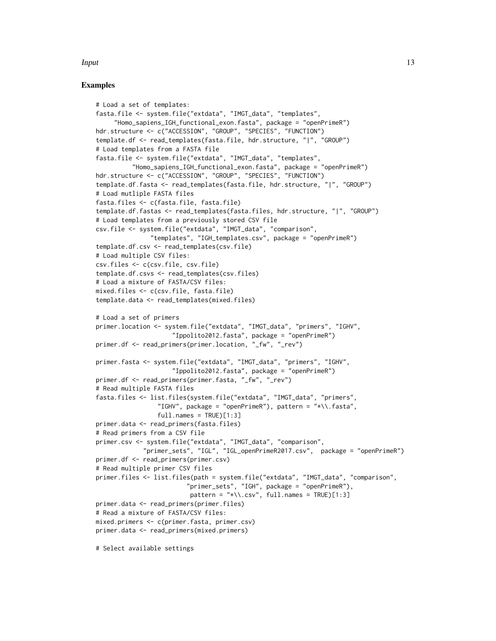#### **Input** 13

## Examples

```
# Load a set of templates:
fasta.file <- system.file("extdata", "IMGT_data", "templates",
     "Homo_sapiens_IGH_functional_exon.fasta", package = "openPrimeR")
hdr.structure <- c("ACCESSION", "GROUP", "SPECIES", "FUNCTION")
template.df <- read_templates(fasta.file, hdr.structure, "|", "GROUP")
# Load templates from a FASTA file
fasta.file <- system.file("extdata", "IMGT_data", "templates",
          "Homo_sapiens_IGH_functional_exon.fasta", package = "openPrimeR")
hdr.structure <- c("ACCESSION", "GROUP", "SPECIES", "FUNCTION")
template.df.fasta <- read_templates(fasta.file, hdr.structure, "|", "GROUP")
# Load mutliple FASTA files
fasta.files <- c(fasta.file, fasta.file)
template.df.fastas <- read_templates(fasta.files, hdr.structure, "|", "GROUP")
# Load templates from a previously stored CSV file
csv.file <- system.file("extdata", "IMGT_data", "comparison",
               "templates", "IGH_templates.csv", package = "openPrimeR")
template.df.csv <- read_templates(csv.file)
# Load multiple CSV files:
csv.files <- c(csv.file, csv.file)
template.df.csvs <- read_templates(csv.files)
# Load a mixture of FASTA/CSV files:
mixed.files <- c(csv.file, fasta.file)
template.data <- read_templates(mixed.files)
# Load a set of primers
primer.location <- system.file("extdata", "IMGT_data", "primers", "IGHV",
                     "Ippolito2012.fasta", package = "openPrimeR")
primer.df <- read_primers(primer.location, "_fw", "_rev")
primer.fasta <- system.file("extdata", "IMGT_data", "primers", "IGHV",
                     "Ippolito2012.fasta", package = "openPrimeR")
primer.df <- read_primers(primer.fasta, "_fw", "_rev")
# Read multiple FASTA files
fasta.files <- list.files(system.file("extdata", "IMGT_data", "primers",
                 "IGHV", package = "openPrimeR"), pattern = "*\\.fasta",
                 full.name = TRUE)[1:3]primer.data <- read_primers(fasta.files)
# Read primers from a CSV file
primer.csv <- system.file("extdata", "IMGT_data", "comparison",
             "primer_sets", "IGL", "IGL_openPrimeR2017.csv", package = "openPrimeR")
primer.df <- read_primers(primer.csv)
# Read multiple primer CSV files
primer.files <- list.files(path = system.file("extdata", "IMGT_data", "comparison",
                         "primer_sets", "IGH", package = "openPrimeR"),
                          pattern = "*\\\.csv", full.name = TRUE)[1:3]primer.data <- read_primers(primer.files)
# Read a mixture of FASTA/CSV files:
mixed.primers <- c(primer.fasta, primer.csv)
primer.data <- read_primers(mixed.primers)
```
# Select available settings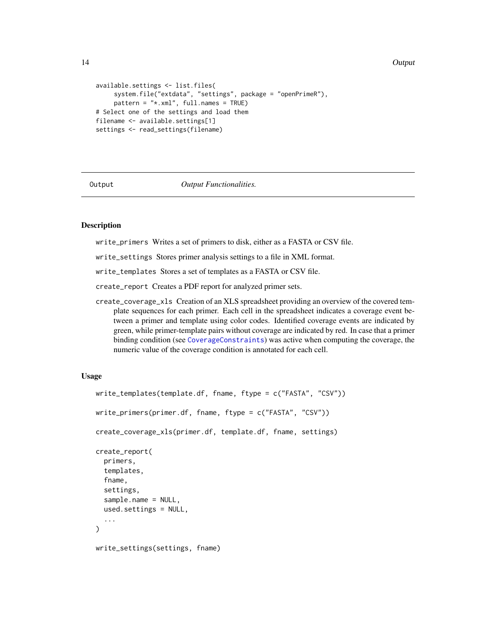#### 14 Output

```
available.settings <- list.files(
     system.file("extdata", "settings", package = "openPrimeR"),
     pattern = "*.xml", full.names = TRUE)
# Select one of the settings and load them
filename <- available.settings[1]
settings <- read_settings(filename)
```
Output *Output Functionalities.*

## <span id="page-13-1"></span>Description

write\_primers Writes a set of primers to disk, either as a FASTA or CSV file.

write\_settings Stores primer analysis settings to a file in XML format.

write\_templates Stores a set of templates as a FASTA or CSV file.

create\_report Creates a PDF report for analyzed primer sets.

create\_coverage\_xls Creation of an XLS spreadsheet providing an overview of the covered template sequences for each primer. Each cell in the spreadsheet indicates a coverage event between a primer and template using color codes. Identified coverage events are indicated by green, while primer-template pairs without coverage are indicated by red. In case that a primer binding condition (see [CoverageConstraints](#page-32-1)) was active when computing the coverage, the numeric value of the coverage condition is annotated for each cell.

## Usage

```
write_templates(template.df, fname, ftype = c("FASTA", "CSV"))
write_primers(primer.df, fname, ftype = c("FASTA", "CSV"))
create_coverage_xls(primer.df, template.df, fname, settings)
create_report(
  primers,
  templates,
  fname,
  settings,
  sample.name = NULL,
  used.settings = NULL,
  ...
\lambdawrite_settings(settings, fname)
```
<span id="page-13-0"></span>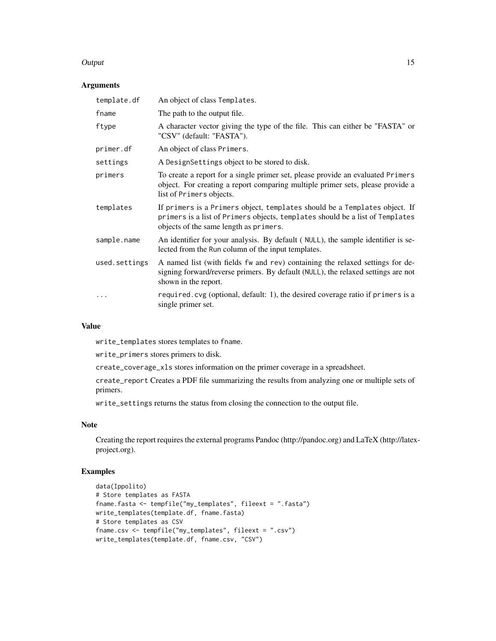#### Output 2008 and 2008 and 2008 and 2008 and 2008 and 2008 and 2008 and 2008 and 2008 and 2008 and 2008 and 2008

## Arguments

| template.df   | An object of class Templates.                                                                                                                                                                         |
|---------------|-------------------------------------------------------------------------------------------------------------------------------------------------------------------------------------------------------|
| fname         | The path to the output file.                                                                                                                                                                          |
| ftype         | A character vector giving the type of the file. This can either be "FASTA" or<br>"CSV" (default: "FASTA").                                                                                            |
| primer.df     | An object of class Primers.                                                                                                                                                                           |
| settings      | A DesignSettings object to be stored to disk.                                                                                                                                                         |
| primers       | To create a report for a single primer set, please provide an evaluated Primers<br>object. For creating a report comparing multiple primer sets, please provide a<br>list of Primers objects.         |
| templates     | If primers is a Primers object, templates should be a Templates object. If<br>primers is a list of Primers objects, templates should be a list of Templates<br>objects of the same length as primers. |
| sample.name   | An identifier for your analysis. By default (NULL), the sample identifier is se-<br>lected from the Run column of the input templates.                                                                |
| used.settings | A named list (with fields fw and rev) containing the relaxed settings for de-<br>signing forward/reverse primers. By default (NULL), the relaxed settings are not<br>shown in the report.             |
| .             | required.cvg (optional, default: 1), the desired coverage ratio if primers is a<br>single primer set.                                                                                                 |

## Value

write\_templates stores templates to fname.

write\_primers stores primers to disk.

create\_coverage\_xls stores information on the primer coverage in a spreadsheet.

create\_report Creates a PDF file summarizing the results from analyzing one or multiple sets of primers.

write\_settings returns the status from closing the connection to the output file.

## Note

Creating the report requires the external programs Pandoc (http://pandoc.org) and LaTeX (http://latexproject.org).

## Examples

```
data(Ippolito)
# Store templates as FASTA
fname.fasta <- tempfile("my_templates", fileext = ".fasta")
write_templates(template.df, fname.fasta)
# Store templates as CSV
fname.csv <- tempfile("my_templates", fileext = ".csv")
write_templates(template.df, fname.csv, "CSV")
```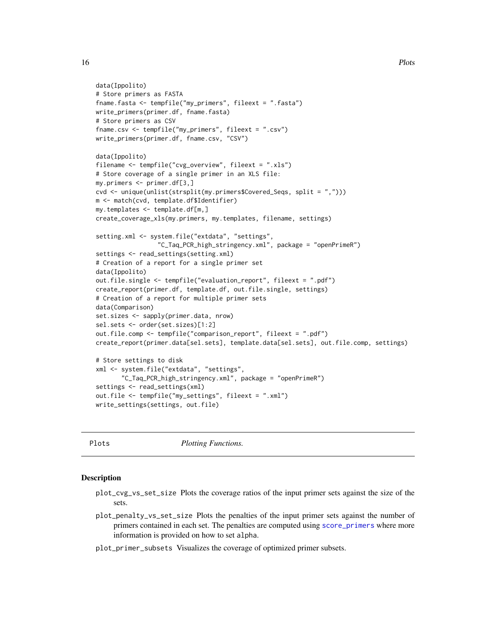```
data(Ippolito)
# Store primers as FASTA
fname.fasta <- tempfile("my_primers", fileext = ".fasta")
write_primers(primer.df, fname.fasta)
# Store primers as CSV
fname.csv <- tempfile("my_primers", fileext = ".csv")
write_primers(primer.df, fname.csv, "CSV")
data(Ippolito)
filename <- tempfile("cvg_overview", fileext = ".xls")
# Store coverage of a single primer in an XLS file:
my.primers <- primer.df[3,]
cvd <- unique(unlist(strsplit(my.primers$Covered_Seqs, split = ",")))
m <- match(cvd, template.df$Identifier)
my.templates <- template.df[m,]
create_coverage_xls(my.primers, my.templates, filename, settings)
setting.xml <- system.file("extdata", "settings",
                 "C_Taq_PCR_high_stringency.xml", package = "openPrimeR")
settings <- read_settings(setting.xml)
# Creation of a report for a single primer set
data(Ippolito)
out.file.single <- tempfile("evaluation_report", fileext = ".pdf")
create_report(primer.df, template.df, out.file.single, settings)
# Creation of a report for multiple primer sets
data(Comparison)
set.sizes <- sapply(primer.data, nrow)
sel.sets <- order(set.sizes)[1:2]
out.file.comp <- tempfile("comparison_report", fileext = ".pdf")
create_report(primer.data[sel.sets], template.data[sel.sets], out.file.comp, settings)
# Store settings to disk
xml <- system.file("extdata", "settings",
       "C_Taq_PCR_high_stringency.xml", package = "openPrimeR")
settings <- read_settings(xml)
out.file <- tempfile("my_settings", fileext = ".xml")
write_settings(settings, out.file)
```
Plots *Plotting Functions.*

#### <span id="page-15-1"></span>**Description**

- plot\_cvg\_vs\_set\_size Plots the coverage ratios of the input primer sets against the size of the sets.
- plot\_penalty\_vs\_set\_size Plots the penalties of the input primer sets against the number of primers contained in each set. The penalties are computed using [score\\_primers](#page-30-1) where more information is provided on how to set alpha.
- plot\_primer\_subsets Visualizes the coverage of optimized primer subsets.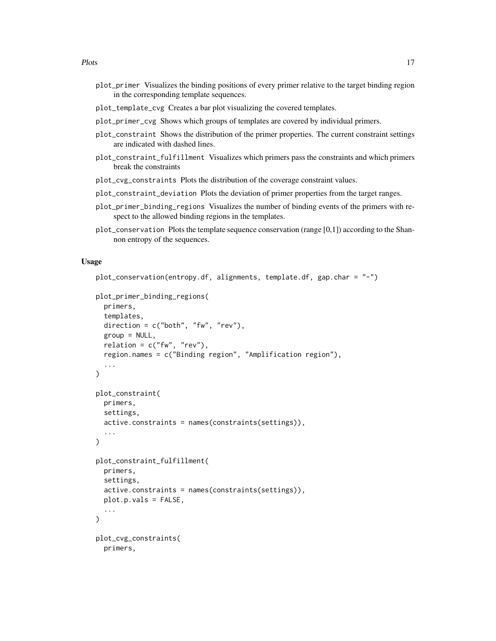- plot\_primer Visualizes the binding positions of every primer relative to the target binding region in the corresponding template sequences.
- plot\_template\_cvg Creates a bar plot visualizing the covered templates.
- plot\_primer\_cvg Shows which groups of templates are covered by individual primers.
- plot\_constraint Shows the distribution of the primer properties. The current constraint settings are indicated with dashed lines.
- plot\_constraint\_fulfillment Visualizes which primers pass the constraints and which primers break the constraints
- plot\_cvg\_constraints Plots the distribution of the coverage constraint values.
- plot\_constraint\_deviation Plots the deviation of primer properties from the target ranges.
- plot\_primer\_binding\_regions Visualizes the number of binding events of the primers with respect to the allowed binding regions in the templates.
- plot\_conservation Plots the template sequence conservation (range [0,1]) according to the Shannon entropy of the sequences.

## Usage

```
plot_conservation(entropy.df, alignments, template.df, gap.char = "-")
```

```
plot_primer_binding_regions(
 primers,
  templates,
  direction = c("both", "fw", "rev"),group = NULL,relation = c("fw", "rev"),
  region.names = c("Binding region", "Amplification region"),
  ...
)
plot_constraint(
 primers,
  settings,
  active.constraints = names(constraints(settings)),
  ...
\lambdaplot_constraint_fulfillment(
 primers,
  settings,
  active.constraints = names(constraints(settings)),
 plot.p.vals = FALSE,
  ...
)
plot_cvg_constraints(
 primers,
```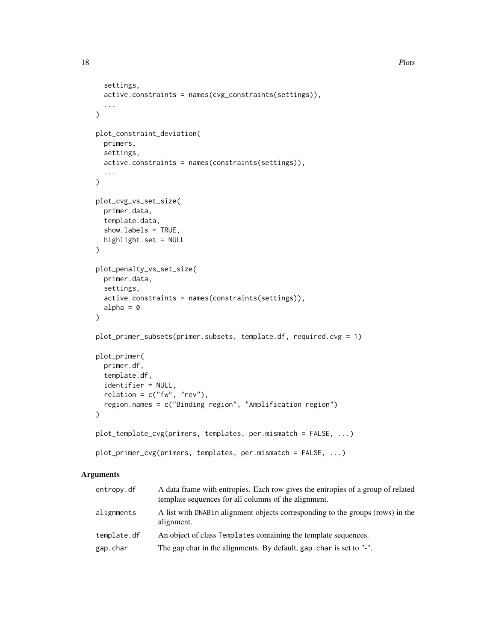```
settings,
 active.constraints = names(cvg_constraints(settings)),
  ...
\lambdaplot_constraint_deviation(
 primers,
  settings,
 active.constraints = names(constraints(settings)),
  ...
)
plot_cvg_vs_set_size(
 primer.data,
  template.data,
  show.labels = TRUE,
 highlight.set = NULL
\mathcal{L}plot_penalty_vs_set_size(
 primer.data,
  settings,
 active.constraints = names(constraints(settings)),
  alpha = \theta\mathcal{L}plot_primer_subsets(primer.subsets, template.df, required.cvg = 1)
plot_primer(
 primer.df,
  template.df,
  identifier = NULL,
  relation = c("fw", "rev"),region.names = c("Binding region", "Amplification region")
\mathcal{L}plot_template_cvg(primers, templates, per.mismatch = FALSE, ...)
plot_primer_cvg(primers, templates, per.mismatch = FALSE, ...)
```
## Arguments

| entropy.df  | A data frame with entropies. Each row gives the entropies of a group of related<br>template sequences for all columns of the alignment. |
|-------------|-----------------------------------------------------------------------------------------------------------------------------------------|
| alignments  | A list with DNAB in alignment objects corresponding to the groups (rows) in the<br>alignment.                                           |
| template.df | An object of class Templates containing the template sequences.                                                                         |
| gap.char    | The gap char in the alignments. By default, gap char is set to "-".                                                                     |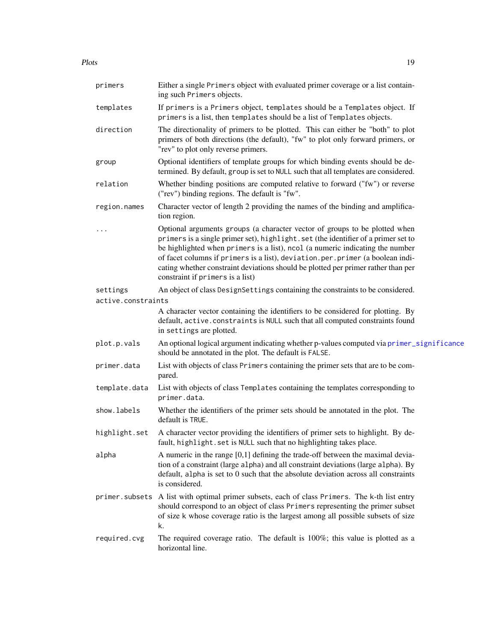<span id="page-18-0"></span>Plots and the set of the set of the set of the set of the set of the set of the set of the set of the set of the set of the set of the set of the set of the set of the set of the set of the set of the set of the set of the

| primers            | Either a single Primers object with evaluated primer coverage or a list contain-<br>ing such Primers objects.                                                                                                                                                                                                                                                                                                                                              |
|--------------------|------------------------------------------------------------------------------------------------------------------------------------------------------------------------------------------------------------------------------------------------------------------------------------------------------------------------------------------------------------------------------------------------------------------------------------------------------------|
| templates          | If primers is a Primers object, templates should be a Templates object. If<br>primers is a list, then templates should be a list of Templates objects.                                                                                                                                                                                                                                                                                                     |
| direction          | The directionality of primers to be plotted. This can either be "both" to plot<br>primers of both directions (the default), "fw" to plot only forward primers, or<br>"rev" to plot only reverse primers.                                                                                                                                                                                                                                                   |
| group              | Optional identifiers of template groups for which binding events should be de-<br>termined. By default, group is set to NULL such that all templates are considered.                                                                                                                                                                                                                                                                                       |
| relation           | Whether binding positions are computed relative to forward ("fw") or reverse<br>("rev") binding regions. The default is "fw".                                                                                                                                                                                                                                                                                                                              |
| region.names       | Character vector of length 2 providing the names of the binding and amplifica-<br>tion region.                                                                                                                                                                                                                                                                                                                                                             |
|                    | Optional arguments groups (a character vector of groups to be plotted when<br>primers is a single primer set), highlight.set (the identifier of a primer set to<br>be highlighted when primers is a list), ncol (a numeric indicating the number<br>of facet columns if primers is a list), deviation.per.primer (a boolean indi-<br>cating whether constraint deviations should be plotted per primer rather than per<br>constraint if primers is a list) |
| settings           | An object of class DesignSettings containing the constraints to be considered.                                                                                                                                                                                                                                                                                                                                                                             |
| active.constraints |                                                                                                                                                                                                                                                                                                                                                                                                                                                            |
|                    | A character vector containing the identifiers to be considered for plotting. By<br>default, active.constraints is NULL such that all computed constraints found<br>in settings are plotted.                                                                                                                                                                                                                                                                |
| plot.p.vals        | An optional logical argument indicating whether p-values computed via primer_significance<br>should be annotated in the plot. The default is FALSE.                                                                                                                                                                                                                                                                                                        |
| primer.data        | List with objects of class Primers containing the primer sets that are to be com-<br>pared.                                                                                                                                                                                                                                                                                                                                                                |
| template.data      | List with objects of class Templates containing the templates corresponding to<br>primer.data.                                                                                                                                                                                                                                                                                                                                                             |
| show.labels        | Whether the identifiers of the primer sets should be annotated in the plot. The<br>default is TRUE.                                                                                                                                                                                                                                                                                                                                                        |
| highlight.set      | A character vector providing the identifiers of primer sets to highlight. By de-<br>fault, highlight. set is NULL such that no highlighting takes place.                                                                                                                                                                                                                                                                                                   |
| alpha              | A numeric in the range $[0,1]$ defining the trade-off between the maximal devia-<br>tion of a constraint (large alpha) and all constraint deviations (large alpha). By<br>default, alpha is set to 0 such that the absolute deviation across all constraints<br>is considered.                                                                                                                                                                             |
| primer.subsets     | A list with optimal primer subsets, each of class Primers. The k-th list entry<br>should correspond to an object of class Primers representing the primer subset<br>of size k whose coverage ratio is the largest among all possible subsets of size<br>k.                                                                                                                                                                                                 |
| required.cvg       | The required coverage ratio. The default is $100\%$ ; this value is plotted as a<br>horizontal line.                                                                                                                                                                                                                                                                                                                                                       |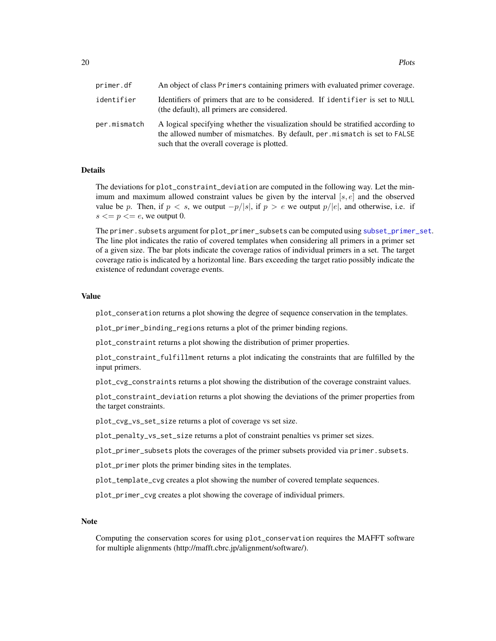<span id="page-19-0"></span>20 Plots

| primer.df    | An object of class Primers containing primers with evaluated primer coverage.                                                                                                                                |
|--------------|--------------------------------------------------------------------------------------------------------------------------------------------------------------------------------------------------------------|
| identifier   | Identifiers of primers that are to be considered. If identifier is set to NULL<br>(the default), all primers are considered.                                                                                 |
| per.mismatch | A logical specifying whether the visualization should be stratified according to<br>the allowed number of mismatches. By default, per mismatch is set to FALSE<br>such that the overall coverage is plotted. |

## Details

The deviations for plot\_constraint\_deviation are computed in the following way. Let the minimum and maximum allowed constraint values be given by the interval  $[s, e]$  and the observed value be p. Then, if  $p < s$ , we output  $-p/|s|$ , if  $p > e$  we output  $p/|e|$ , and otherwise, i.e. if  $s \leq p \leq e$ , we output 0.

The primer.subsets argument for plot\_primer\_subsets can be computed using [subset\\_primer\\_set](#page-26-1). The line plot indicates the ratio of covered templates when considering all primers in a primer set of a given size. The bar plots indicate the coverage ratios of individual primers in a set. The target coverage ratio is indicated by a horizontal line. Bars exceeding the target ratio possibly indicate the existence of redundant coverage events.

## Value

plot\_conseration returns a plot showing the degree of sequence conservation in the templates.

plot\_primer\_binding\_regions returns a plot of the primer binding regions.

plot\_constraint returns a plot showing the distribution of primer properties.

plot\_constraint\_fulfillment returns a plot indicating the constraints that are fulfilled by the input primers.

plot\_cvg\_constraints returns a plot showing the distribution of the coverage constraint values.

plot\_constraint\_deviation returns a plot showing the deviations of the primer properties from the target constraints.

plot\_cvg\_vs\_set\_size returns a plot of coverage vs set size.

plot\_penalty\_vs\_set\_size returns a plot of constraint penalties vs primer set sizes.

plot\_primer\_subsets plots the coverages of the primer subsets provided via primer.subsets.

plot\_primer plots the primer binding sites in the templates.

plot\_template\_cvg creates a plot showing the number of covered template sequences.

plot\_primer\_cvg creates a plot showing the coverage of individual primers.

#### **Note**

Computing the conservation scores for using plot\_conservation requires the MAFFT software for multiple alignments (http://mafft.cbrc.jp/alignment/software/).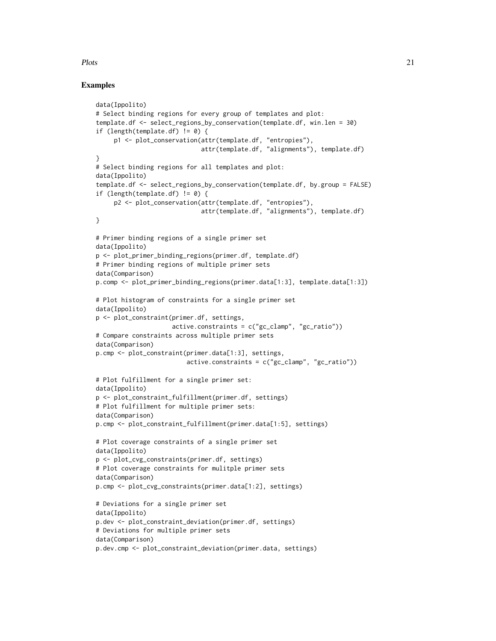## Plots 21

## Examples

```
data(Ippolito)
# Select binding regions for every group of templates and plot:
template.df <- select_regions_by_conservation(template.df, win.len = 30)
if (length(template.df) != 0) {
     p1 <- plot_conservation(attr(template.df, "entropies"),
                             attr(template.df, "alignments"), template.df)
}
# Select binding regions for all templates and plot:
data(Ippolito)
template.df <- select_regions_by_conservation(template.df, by.group = FALSE)
if (length(template.df) != 0) {
     p2 <- plot_conservation(attr(template.df, "entropies"),
                             attr(template.df, "alignments"), template.df)
}
# Primer binding regions of a single primer set
data(Ippolito)
p <- plot_primer_binding_regions(primer.df, template.df)
# Primer binding regions of multiple primer sets
data(Comparison)
p.comp <- plot_primer_binding_regions(primer.data[1:3], template.data[1:3])
# Plot histogram of constraints for a single primer set
data(Ippolito)
p <- plot_constraint(primer.df, settings,
                     active.\text{constructs} = c("gc\_clamp", "gc\_ratio"))# Compare constraints across multiple primer sets
data(Comparison)
p.cmp <- plot_constraint(primer.data[1:3], settings,
                         active.\text{constraints} = c("gc\_clamp", "gc\_ratio"))# Plot fulfillment for a single primer set:
data(Ippolito)
p <- plot_constraint_fulfillment(primer.df, settings)
# Plot fulfillment for multiple primer sets:
data(Comparison)
p.cmp <- plot_constraint_fulfillment(primer.data[1:5], settings)
# Plot coverage constraints of a single primer set
data(Ippolito)
p <- plot_cvg_constraints(primer.df, settings)
# Plot coverage constraints for mulitple primer sets
data(Comparison)
p.cmp <- plot_cvg_constraints(primer.data[1:2], settings)
# Deviations for a single primer set
data(Ippolito)
p.dev <- plot_constraint_deviation(primer.df, settings)
# Deviations for multiple primer sets
data(Comparison)
p.dev.cmp <- plot_constraint_deviation(primer.data, settings)
```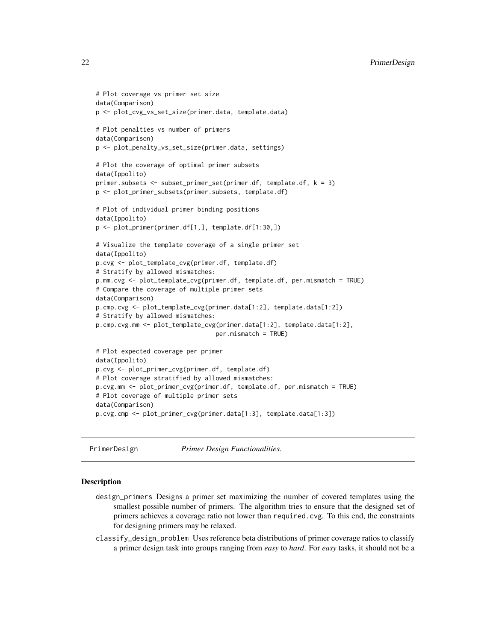```
# Plot coverage vs primer set size
data(Comparison)
p <- plot_cvg_vs_set_size(primer.data, template.data)
# Plot penalties vs number of primers
data(Comparison)
p <- plot_penalty_vs_set_size(primer.data, settings)
# Plot the coverage of optimal primer subsets
data(Ippolito)
primer.subsets <- subset_primer_set(primer.df, template.df, k = 3)
p <- plot_primer_subsets(primer.subsets, template.df)
# Plot of individual primer binding positions
data(Ippolito)
p <- plot_primer(primer.df[1,], template.df[1:30,])
# Visualize the template coverage of a single primer set
data(Ippolito)
p.cvg <- plot_template_cvg(primer.df, template.df)
# Stratify by allowed mismatches:
p.mm.cvg <- plot_template_cvg(primer.df, template.df, per.mismatch = TRUE)
# Compare the coverage of multiple primer sets
data(Comparison)
p.cmp.cvg <- plot_template_cvg(primer.data[1:2], template.data[1:2])
# Stratify by allowed mismatches:
p.cmp.cvg.mm <- plot_template_cvg(primer.data[1:2], template.data[1:2],
                                 per.mismatch = TRUE)
# Plot expected coverage per primer
data(Ippolito)
p.cvg <- plot_primer_cvg(primer.df, template.df)
# Plot coverage stratified by allowed mismatches:
p.cvg.mm <- plot_primer_cvg(primer.df, template.df, per.mismatch = TRUE)
# Plot coverage of multiple primer sets
data(Comparison)
p.cvg.cmp <- plot_primer_cvg(primer.data[1:3], template.data[1:3])
```
PrimerDesign *Primer Design Functionalities.*

#### <span id="page-21-1"></span>**Description**

- design\_primers Designs a primer set maximizing the number of covered templates using the smallest possible number of primers. The algorithm tries to ensure that the designed set of primers achieves a coverage ratio not lower than required.cvg. To this end, the constraints for designing primers may be relaxed.
- classify\_design\_problem Uses reference beta distributions of primer coverage ratios to classify a primer design task into groups ranging from *easy* to *hard*. For *easy* tasks, it should not be a

<span id="page-21-0"></span>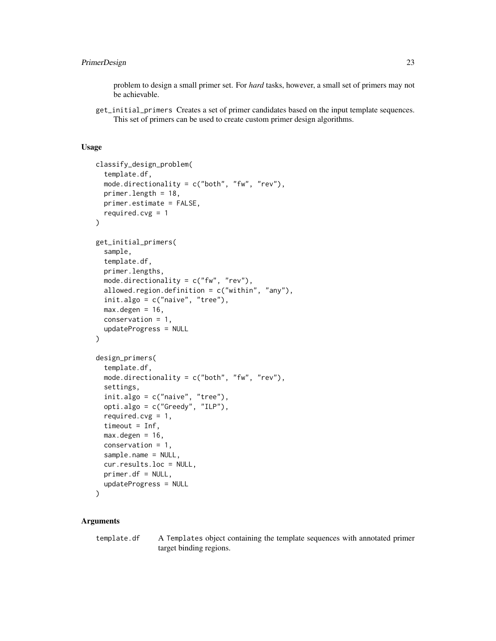## PrimerDesign 23

problem to design a small primer set. For *hard* tasks, however, a small set of primers may not be achievable.

get\_initial\_primers Creates a set of primer candidates based on the input template sequences. This set of primers can be used to create custom primer design algorithms.

## Usage

```
classify_design_problem(
  template.df,
  mode.directionality = c("both", "fw", "rev"),primer.length = 18,
 primer.estimate = FALSE,
  required.cvg = 1\lambdaget_initial_primers(
  sample,
  template.df,
  primer.lengths,
  mode.directionality = c("fw", "rev"),allowed.region.definition = c("within", "any"),
  init.algo = c("naive", "tree"),
  max. degen = 16,
  conservation = 1,
  updateProgress = NULL
\lambdadesign_primers(
  template.df,
  mode.directionality = c("both", "fw", "rev"),
  settings,
  init.algo = c("naive", "tree"),
  opti.algo = c("Greedy", "ILP"),
  required.cvg = 1,
  timeout = Inf,
  max. degen = 16,
  conservation = 1,
  sample.name = NULL,
  cur.results.loc = NULL,
  primer.df = NULL,
  updateProgress = NULL
\lambda
```
## Arguments

template.df A Templates object containing the template sequences with annotated primer target binding regions.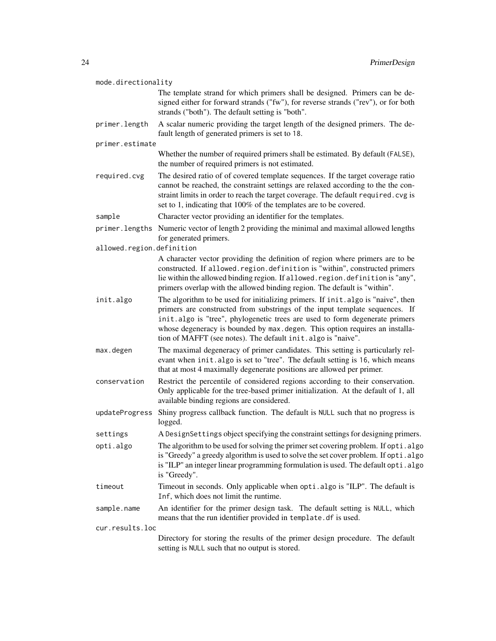| mode.directionality       |                                                                                                                                                                                                                                                                                                                                                                                                |
|---------------------------|------------------------------------------------------------------------------------------------------------------------------------------------------------------------------------------------------------------------------------------------------------------------------------------------------------------------------------------------------------------------------------------------|
|                           | The template strand for which primers shall be designed. Primers can be de-<br>signed either for forward strands ("fw"), for reverse strands ("rev"), or for both<br>strands ("both"). The default setting is "both".                                                                                                                                                                          |
| primer.length             | A scalar numeric providing the target length of the designed primers. The de-<br>fault length of generated primers is set to 18.                                                                                                                                                                                                                                                               |
| primer.estimate           |                                                                                                                                                                                                                                                                                                                                                                                                |
|                           | Whether the number of required primers shall be estimated. By default (FALSE),<br>the number of required primers is not estimated.                                                                                                                                                                                                                                                             |
| required.cvg              | The desired ratio of of covered template sequences. If the target coverage ratio<br>cannot be reached, the constraint settings are relaxed according to the the con-<br>straint limits in order to reach the target coverage. The default required. cvg is<br>set to 1, indicating that 100% of the templates are to be covered.                                                               |
| sample                    | Character vector providing an identifier for the templates.                                                                                                                                                                                                                                                                                                                                    |
|                           | primer. lengths Numeric vector of length 2 providing the minimal and maximal allowed lengths<br>for generated primers.                                                                                                                                                                                                                                                                         |
| allowed.region.definition |                                                                                                                                                                                                                                                                                                                                                                                                |
|                           | A character vector providing the definition of region where primers are to be<br>constructed. If allowed. region. definition is "within", constructed primers<br>lie within the allowed binding region. If allowed. region. definition is "any",<br>primers overlap with the allowed binding region. The default is "within".                                                                  |
| init.algo                 | The algorithm to be used for initializing primers. If init.algo is "naive", then<br>primers are constructed from substrings of the input template sequences. If<br>init.algo is "tree", phylogenetic trees are used to form degenerate primers<br>whose degeneracy is bounded by max.degen. This option requires an installa-<br>tion of MAFFT (see notes). The default init. algo is "naive". |
| max.degen                 | The maximal degeneracy of primer candidates. This setting is particularly rel-<br>evant when init. algo is set to "tree". The default setting is 16, which means<br>that at most 4 maximally degenerate positions are allowed per primer.                                                                                                                                                      |
| conservation              | Restrict the percentile of considered regions according to their conservation.<br>Only applicable for the tree-based primer initialization. At the default of 1, all<br>available binding regions are considered.                                                                                                                                                                              |
| updateProgress            | Shiny progress callback function. The default is NULL such that no progress is<br>logged.                                                                                                                                                                                                                                                                                                      |
| settings                  | A DesignSettings object specifying the constraint settings for designing primers.                                                                                                                                                                                                                                                                                                              |
| opti.algo                 | The algorithm to be used for solving the primer set covering problem. If opti.algo<br>is "Greedy" a greedy algorithm is used to solve the set cover problem. If opti.algo<br>is "ILP" an integer linear programming formulation is used. The default opti.algo<br>is "Greedy".                                                                                                                 |
| timeout                   | Timeout in seconds. Only applicable when opti.algo is "ILP". The default is<br>Inf, which does not limit the runtime.                                                                                                                                                                                                                                                                          |
| sample.name               | An identifier for the primer design task. The default setting is NULL, which<br>means that the run identifier provided in template. df is used.                                                                                                                                                                                                                                                |
| cur.results.loc           |                                                                                                                                                                                                                                                                                                                                                                                                |
|                           | Directory for storing the results of the primer design procedure. The default<br>setting is NULL such that no output is stored.                                                                                                                                                                                                                                                                |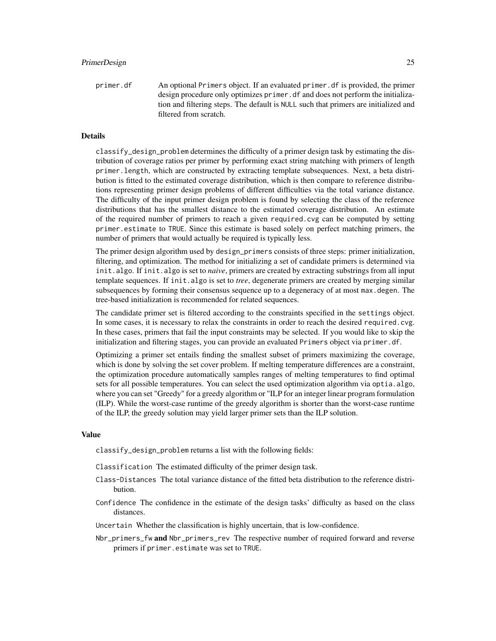## PrimerDesign 25

primer.df An optional Primers object. If an evaluated primer.df is provided, the primer design procedure only optimizes primer.df and does not perform the initialization and filtering steps. The default is NULL such that primers are initialized and filtered from scratch.

## Details

classify\_design\_problem determines the difficulty of a primer design task by estimating the distribution of coverage ratios per primer by performing exact string matching with primers of length primer.length, which are constructed by extracting template subsequences. Next, a beta distribution is fitted to the estimated coverage distribution, which is then compare to reference distributions representing primer design problems of different difficulties via the total variance distance. The difficulty of the input primer design problem is found by selecting the class of the reference distributions that has the smallest distance to the estimated coverage distribution. An estimate of the required number of primers to reach a given required.cvg can be computed by setting primer.estimate to TRUE. Since this estimate is based solely on perfect matching primers, the number of primers that would actually be required is typically less.

The primer design algorithm used by design\_primers consists of three steps: primer initialization, filtering, and optimization. The method for initializing a set of candidate primers is determined via init.algo. If init.algo is set to *naive*, primers are created by extracting substrings from all input template sequences. If init.algo is set to *tree*, degenerate primers are created by merging similar subsequences by forming their consensus sequence up to a degeneracy of at most max.degen. The tree-based initialization is recommended for related sequences.

The candidate primer set is filtered according to the constraints specified in the settings object. In some cases, it is necessary to relax the constraints in order to reach the desired required.cvg. In these cases, primers that fail the input constraints may be selected. If you would like to skip the initialization and filtering stages, you can provide an evaluated Primers object via primer.df.

Optimizing a primer set entails finding the smallest subset of primers maximizing the coverage, which is done by solving the set cover problem. If melting temperature differences are a constraint, the optimization procedure automatically samples ranges of melting temperatures to find optimal sets for all possible temperatures. You can select the used optimization algorithm via optia.algo, where you can set "Greedy" for a greedy algorithm or "ILP for an integer linear program formulation (ILP). While the worst-case runtime of the greedy algorithm is shorter than the worst-case runtime of the ILP, the greedy solution may yield larger primer sets than the ILP solution.

#### Value

classify\_design\_problem returns a list with the following fields:

Classification The estimated difficulty of the primer design task.

- Class-Distances The total variance distance of the fitted beta distribution to the reference distribution.
- Confidence The confidence in the estimate of the design tasks' difficulty as based on the class distances.
- Uncertain Whether the classification is highly uncertain, that is low-confidence.
- Nbr\_primers\_fw and Nbr\_primers\_rev The respective number of required forward and reverse primers if primer.estimate was set to TRUE.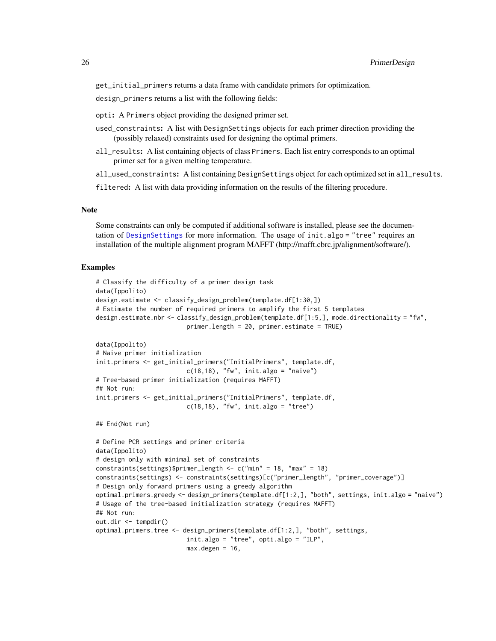<span id="page-25-0"></span>get\_initial\_primers returns a data frame with candidate primers for optimization.

design\_primers returns a list with the following fields:

- opti: A Primers object providing the designed primer set.
- used\_constraints: A list with DesignSettings objects for each primer direction providing the (possibly relaxed) constraints used for designing the optimal primers.
- all\_results: A list containing objects of class Primers. Each list entry corresponds to an optimal primer set for a given melting temperature.
- all\_used\_constraints: A list containing DesignSettings object for each optimized set in all\_results.

filtered: A list with data providing information on the results of the filtering procedure.

## Note

Some constraints can only be computed if additional software is installed, please see the documentation of [DesignSettings](#page-32-1) for more information. The usage of init.algo = "tree" requires an installation of the multiple alignment program MAFFT (http://mafft.cbrc.jp/alignment/software/).

## Examples

```
# Classify the difficulty of a primer design task
data(Ippolito)
design.estimate <- classify_design_problem(template.df[1:30,])
# Estimate the number of required primers to amplify the first 5 templates
design.estimate.nbr <- classify_design_problem(template.df[1:5,], mode.directionality = "fw",
                         primer.length = 20, primer.estimate = TRUE)
data(Ippolito)
# Naive primer initialization
init.primers <- get_initial_primers("InitialPrimers", template.df,
                         c(18,18), "fw", init.algo = "naive")
# Tree-based primer initialization (requires MAFFT)
## Not run:
init.primers <- get_initial_primers("InitialPrimers", template.df,
                         c(18,18), "fw", init.algo = "tree")
## End(Not run)
# Define PCR settings and primer criteria
data(Ippolito)
# design only with minimal set of constraints
constraints(settings)$primer_length <- c("min" = 18, "max" = 18)
constraints(settings) <- constraints(settings)[c("primer_length", "primer_coverage")]
# Design only forward primers using a greedy algorithm
optimal.primers.greedy <- design_primers(template.df[1:2,], "both", settings, init.algo = "naive")
# Usage of the tree-based initialization strategy (requires MAFFT)
## Not run:
out.dir <- tempdir()
optimal.primers.tree <- design_primers(template.df[1:2,], "both", settings,
                         init.algo = "tree", opti.algo = "ILP",
                         max.degen = 16,
```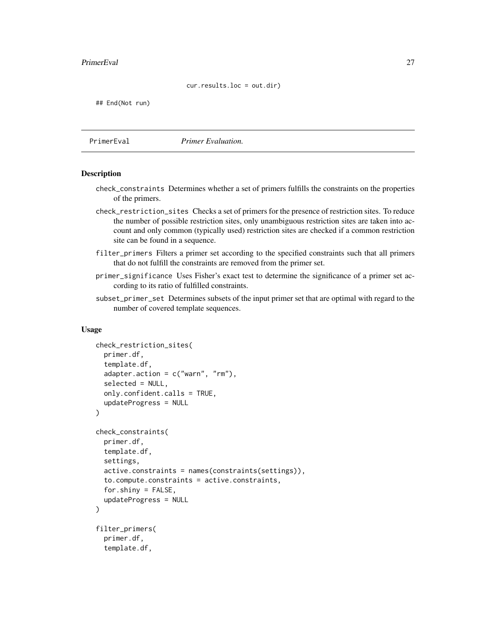#### cur.results.loc = out.dir)

<span id="page-26-0"></span>## End(Not run)

PrimerEval *Primer Evaluation.*

## <span id="page-26-1"></span>**Description**

- check\_constraints Determines whether a set of primers fulfills the constraints on the properties of the primers.
- check\_restriction\_sites Checks a set of primers for the presence of restriction sites. To reduce the number of possible restriction sites, only unambiguous restriction sites are taken into account and only common (typically used) restriction sites are checked if a common restriction site can be found in a sequence.
- filter\_primers Filters a primer set according to the specified constraints such that all primers that do not fulfill the constraints are removed from the primer set.
- primer\_significance Uses Fisher's exact test to determine the significance of a primer set according to its ratio of fulfilled constraints.
- subset\_primer\_set Determines subsets of the input primer set that are optimal with regard to the number of covered template sequences.

#### Usage

```
check_restriction_sites(
  primer.df,
  template.df,
  adadapter.action = c("warn", "rm"),
  selected = NULL,
  only.confident.calls = TRUE,
  updateProgress = NULL
\lambdacheck_constraints(
  primer.df,
  template.df,
  settings,
  active.constraints = names(constraints(settings)),
  to.compute.constraints = active.constraints,
  for.shiny = FALSE,
  updateProgress = NULL
)
filter_primers(
  primer.df,
  template.df,
```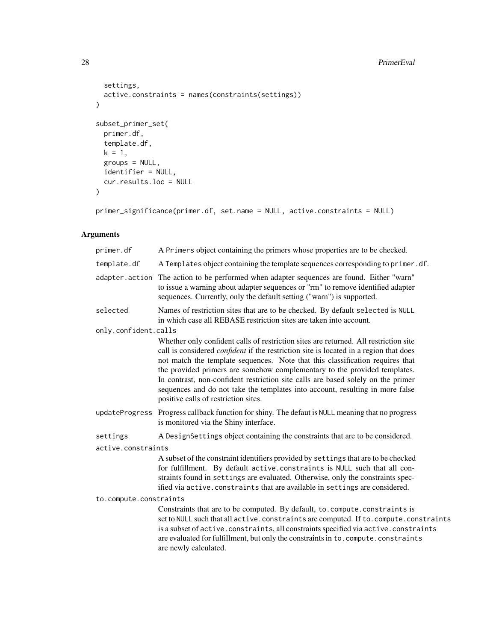#### 28 **PrimerEval**

```
settings,
  active.constraints = names(constraints(settings))
\lambdasubset_primer_set(
  primer.df,
  template.df,
  k = 1,groups = NULL,
  identifier = NULL,
  cur.results.loc = NULL
\mathcal{L}
```
primer\_significance(primer.df, set.name = NULL, active.constraints = NULL)

## Arguments

| primer.df              | A Primers object containing the primers whose properties are to be checked.                                                                                                                                                                                                                                                                                                                                                                                                                                                                                     |  |
|------------------------|-----------------------------------------------------------------------------------------------------------------------------------------------------------------------------------------------------------------------------------------------------------------------------------------------------------------------------------------------------------------------------------------------------------------------------------------------------------------------------------------------------------------------------------------------------------------|--|
| template.df            | A Templates object containing the template sequences corresponding to primer.df.                                                                                                                                                                                                                                                                                                                                                                                                                                                                                |  |
| adapter.action         | The action to be performed when adapter sequences are found. Either "warn"<br>to issue a warning about adapter sequences or "rm" to remove identified adapter<br>sequences. Currently, only the default setting ("warn") is supported.                                                                                                                                                                                                                                                                                                                          |  |
| selected               | Names of restriction sites that are to be checked. By default selected is NULL<br>in which case all REBASE restriction sites are taken into account.                                                                                                                                                                                                                                                                                                                                                                                                            |  |
| only.confident.calls   |                                                                                                                                                                                                                                                                                                                                                                                                                                                                                                                                                                 |  |
|                        | Whether only confident calls of restriction sites are returned. All restriction site<br>call is considered <i>confident</i> if the restriction site is located in a region that does<br>not match the template sequences. Note that this classification requires that<br>the provided primers are somehow complementary to the provided templates.<br>In contrast, non-confident restriction site calls are based solely on the primer<br>sequences and do not take the templates into account, resulting in more false<br>positive calls of restriction sites. |  |
| updateProgress         | Progress callback function for shiny. The defaut is NULL meaning that no progress<br>is monitored via the Shiny interface.                                                                                                                                                                                                                                                                                                                                                                                                                                      |  |
| settings               | A DesignSettings object containing the constraints that are to be considered.                                                                                                                                                                                                                                                                                                                                                                                                                                                                                   |  |
| active.constraints     |                                                                                                                                                                                                                                                                                                                                                                                                                                                                                                                                                                 |  |
|                        | A subset of the constraint identifiers provided by settings that are to be checked<br>for fulfillment. By default active.constraints is NULL such that all con-<br>straints found in settings are evaluated. Otherwise, only the constraints spec-<br>ified via active. constraints that are available in settings are considered.                                                                                                                                                                                                                              |  |
| to.compute.constraints |                                                                                                                                                                                                                                                                                                                                                                                                                                                                                                                                                                 |  |
|                        | Constraints that are to be computed. By default, to. compute. constraints is<br>set to NULL such that all active. constraints are computed. If to. compute. constraints<br>is a subset of active. constraints, all constraints specified via active. constraints<br>are evaluated for fulfillment, but only the constraints in to. compute. constraints<br>are newly calculated.                                                                                                                                                                                |  |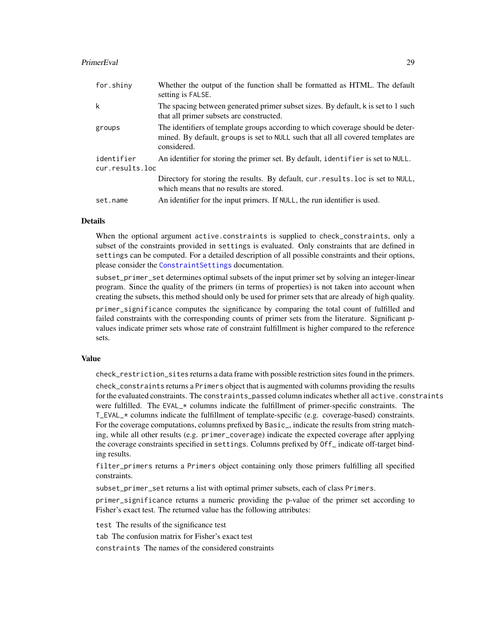## <span id="page-28-0"></span>PrimerEval 29

| for.shiny       | Whether the output of the function shall be formatted as HTML. The default<br>setting is FALSE.                                                                                    |
|-----------------|------------------------------------------------------------------------------------------------------------------------------------------------------------------------------------|
| k               | The spacing between generated primer subset sizes. By default, k is set to 1 such<br>that all primer subsets are constructed.                                                      |
| groups          | The identifiers of template groups according to which coverage should be deter-<br>mined. By default, groups is set to NULL such that all all covered templates are<br>considered. |
| identifier      | An identifier for storing the primer set. By default, identifier is set to NULL.                                                                                                   |
| cur.results.loc |                                                                                                                                                                                    |
|                 | Directory for storing the results. By default, cur. results. loc is set to NULL,<br>which means that no results are stored.                                                        |
| set.name        | An identifier for the input primers. If NULL, the run identifier is used.                                                                                                          |

#### **Details**

When the optional argument active.constraints is supplied to check\_constraints, only a subset of the constraints provided in settings is evaluated. Only constraints that are defined in settings can be computed. For a detailed description of all possible constraints and their options, please consider the [ConstraintSettings](#page-32-1) documentation.

subset\_primer\_set determines optimal subsets of the input primer set by solving an integer-linear program. Since the quality of the primers (in terms of properties) is not taken into account when creating the subsets, this method should only be used for primer sets that are already of high quality.

primer\_significance computes the significance by comparing the total count of fulfilled and failed constraints with the corresponding counts of primer sets from the literature. Significant pvalues indicate primer sets whose rate of constraint fulfillment is higher compared to the reference sets.

#### Value

check\_restriction\_sites returns a data frame with possible restriction sites found in the primers.

check\_constraints returns a Primers object that is augmented with columns providing the results for the evaluated constraints. The constraints\_passed column indicates whether all active.constraints were fulfilled. The EVAL $\star$  columns indicate the fulfillment of primer-specific constraints. The T\_EVAL\_\* columns indicate the fulfillment of template-specific (e.g. coverage-based) constraints. For the coverage computations, columns prefixed by Basic\_, indicate the results from string matching, while all other results (e.g. primer\_coverage) indicate the expected coverage after applying the coverage constraints specified in settings. Columns prefixed by Off\_ indicate off-target binding results.

filter\_primers returns a Primers object containing only those primers fulfilling all specified constraints.

subset\_primer\_set returns a list with optimal primer subsets, each of class Primers.

primer\_significance returns a numeric providing the p-value of the primer set according to Fisher's exact test. The returned value has the following attributes:

test The results of the significance test

tab The confusion matrix for Fisher's exact test

constraints The names of the considered constraints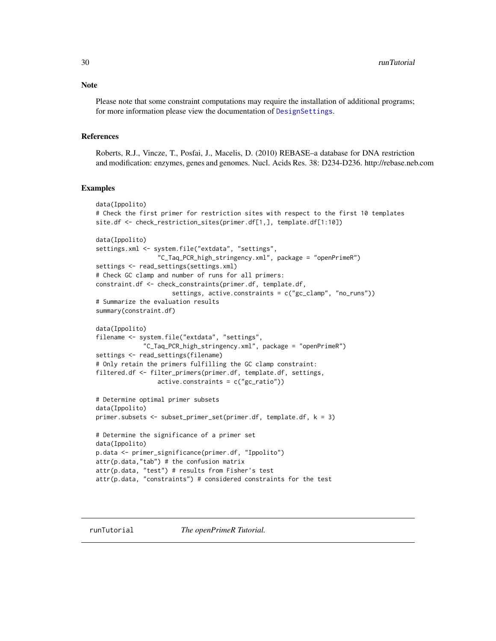<span id="page-29-0"></span>**Note** 

Please note that some constraint computations may require the installation of additional programs; for more information please view the documentation of [DesignSettings](#page-32-1).

#### References

Roberts, R.J., Vincze, T., Posfai, J., Macelis, D. (2010) REBASE–a database for DNA restriction and modification: enzymes, genes and genomes. Nucl. Acids Res. 38: D234-D236. http://rebase.neb.com

#### Examples

```
data(Ippolito)
# Check the first primer for restriction sites with respect to the first 10 templates
site.df <- check_restriction_sites(primer.df[1,], template.df[1:10])
data(Ippolito)
settings.xml <- system.file("extdata", "settings",
                 "C_Taq_PCR_high_stringency.xml", package = "openPrimeR")
settings <- read_settings(settings.xml)
# Check GC clamp and number of runs for all primers:
constraint.df <- check_constraints(primer.df, template.df,
                     settings, active.constraints = c("gc_clamp", "no_runs"))
# Summarize the evaluation results
summary(constraint.df)
data(Ippolito)
filename <- system.file("extdata", "settings",
             "C_Taq_PCR_high_stringency.xml", package = "openPrimeR")
settings <- read_settings(filename)
# Only retain the primers fulfilling the GC clamp constraint:
filtered.df <- filter_primers(primer.df, template.df, settings,
                 active.constraints = c("gc_ratio"))
# Determine optimal primer subsets
data(Ippolito)
primer.subsets <- subset_primer_set(primer.df, template.df, k = 3)
# Determine the significance of a primer set
data(Ippolito)
p.data <- primer_significance(primer.df, "Ippolito")
attr(p.data, "tab") # the confusion matrix
attr(p.data, "test") # results from Fisher's test
attr(p.data, "constraints") # considered constraints for the test
```
runTutorial *The openPrimeR Tutorial.*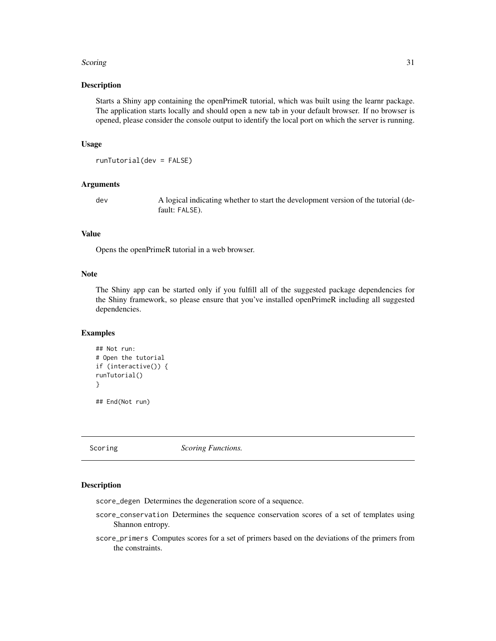#### <span id="page-30-0"></span>Scoring 31

#### Description

Starts a Shiny app containing the openPrimeR tutorial, which was built using the learnr package. The application starts locally and should open a new tab in your default browser. If no browser is opened, please consider the console output to identify the local port on which the server is running.

#### Usage

```
runTutorial(dev = FALSE)
```
## Arguments

dev A logical indicating whether to start the development version of the tutorial (default: FALSE).

## Value

Opens the openPrimeR tutorial in a web browser.

#### Note

The Shiny app can be started only if you fulfill all of the suggested package dependencies for the Shiny framework, so please ensure that you've installed openPrimeR including all suggested dependencies.

## **Examples**

```
## Not run:
# Open the tutorial
if (interactive()) {
runTutorial()
}
## End(Not run)
```
Scoring *Scoring Functions.*

## <span id="page-30-1"></span>Description

score\_degen Determines the degeneration score of a sequence.

- score\_conservation Determines the sequence conservation scores of a set of templates using Shannon entropy.
- score\_primers Computes scores for a set of primers based on the deviations of the primers from the constraints.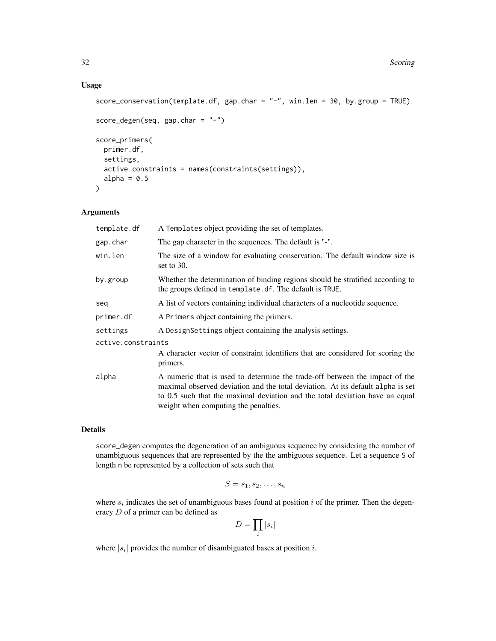## Usage

```
score_conservation(template.df, gap.char = "-", win.len = 30, by.group = TRUE)
```

```
score_degen(seq, gap.char = "-")
score_primers(
 primer.df,
 settings,
 active.constraints = names(constraints(settings)),
 alpha = 0.5\lambda
```
## Arguments

| template.df        | A Templates object providing the set of templates.                                                                                                                                                                                                                                     |  |
|--------------------|----------------------------------------------------------------------------------------------------------------------------------------------------------------------------------------------------------------------------------------------------------------------------------------|--|
| gap.char           | The gap character in the sequences. The default is "-".                                                                                                                                                                                                                                |  |
| win.len            | The size of a window for evaluating conservation. The default window size is<br>set to $30$ .                                                                                                                                                                                          |  |
| by.group           | Whether the determination of binding regions should be stratified according to<br>the groups defined in template.df. The default is TRUE.                                                                                                                                              |  |
| seq                | A list of vectors containing individual characters of a nucleotide sequence.                                                                                                                                                                                                           |  |
| primer.df          | A Primers object containing the primers.                                                                                                                                                                                                                                               |  |
| settings           | A Design Settings object containing the analysis settings.                                                                                                                                                                                                                             |  |
| active.constraints |                                                                                                                                                                                                                                                                                        |  |
|                    | A character vector of constraint identifiers that are considered for scoring the<br>primers.                                                                                                                                                                                           |  |
| alpha              | A numeric that is used to determine the trade-off between the impact of the<br>maximal observed deviation and the total deviation. At its default alpha is set<br>to 0.5 such that the maximal deviation and the total deviation have an equal<br>weight when computing the penalties. |  |

## Details

score\_degen computes the degeneration of an ambiguous sequence by considering the number of unambiguous sequences that are represented by the the ambiguous sequence. Let a sequence S of length n be represented by a collection of sets such that

$$
S = s_1, s_2, \ldots, s_n
$$

where  $s_i$  indicates the set of unambiguous bases found at position i of the primer. Then the degeneracy D of a primer can be defined as

$$
D=\prod_i |s_i|
$$

where  $|s_i|$  provides the number of disambiguated bases at position i.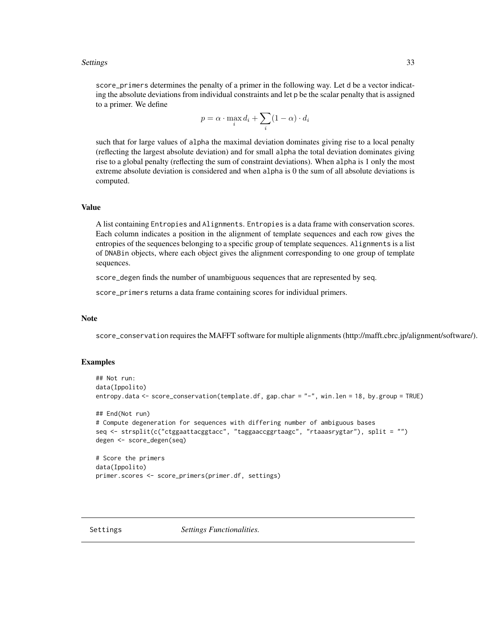#### <span id="page-32-0"></span>Settings 33

score\_primers determines the penalty of a primer in the following way. Let d be a vector indicating the absolute deviations from individual constraints and let p be the scalar penalty that is assigned to a primer. We define

$$
p = \alpha \cdot \max_i d_i + \sum_i (1 - \alpha) \cdot d_i
$$

such that for large values of alpha the maximal deviation dominates giving rise to a local penalty (reflecting the largest absolute deviation) and for small alpha the total deviation dominates giving rise to a global penalty (reflecting the sum of constraint deviations). When alpha is 1 only the most extreme absolute deviation is considered and when alpha is 0 the sum of all absolute deviations is computed.

#### Value

A list containing Entropies and Alignments. Entropies is a data frame with conservation scores. Each column indicates a position in the alignment of template sequences and each row gives the entropies of the sequences belonging to a specific group of template sequences. Alignments is a list of DNABin objects, where each object gives the alignment corresponding to one group of template sequences.

score\_degen finds the number of unambiguous sequences that are represented by seq.

score\_primers returns a data frame containing scores for individual primers.

#### **Note**

score\_conservation requires the MAFFT software for multiple alignments (http://mafft.cbrc.jp/alignment/software/).

#### Examples

```
## Not run:
data(Ippolito)
entropy.data <- score_conservation(template.df, gap.char = "-", win.len = 18, by.group = TRUE)
## End(Not run)
# Compute degeneration for sequences with differing number of ambiguous bases
seq <- strsplit(c("ctggaattacggtacc", "taggaaccggrtaagc", "rtaaasrygtar"), split = "")
degen <- score_degen(seq)
# Score the primers
data(Ippolito)
primer.scores <- score_primers(primer.df, settings)
```
<span id="page-32-1"></span>

Settings *Settings Functionalities.*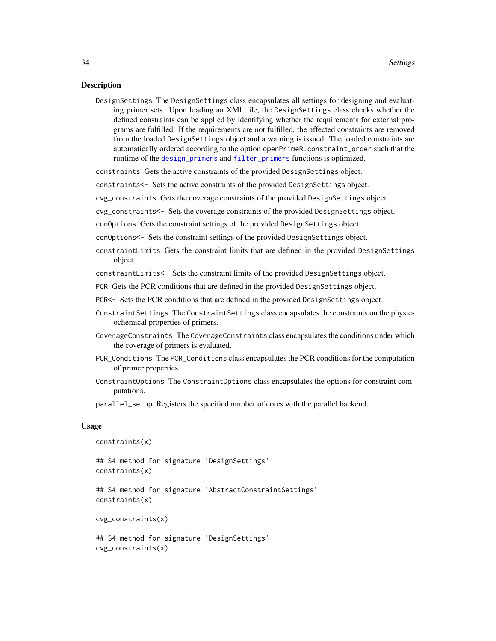#### <span id="page-33-0"></span>Description

DesignSettings The DesignSettings class encapsulates all settings for designing and evaluating primer sets. Upon loading an XML file, the DesignSettings class checks whether the defined constraints can be applied by identifying whether the requirements for external programs are fulfilled. If the requirements are not fulfilled, the affected constraints are removed from the loaded DesignSettings object and a warning is issued. The loaded constraints are automatically ordered according to the option openPrimeR.constraint\_order such that the runtime of the [design\\_primers](#page-21-1) and [filter\\_primers](#page-26-1) functions is optimized.

constraints Gets the active constraints of the provided DesignSettings object.

constraints<- Sets the active constraints of the provided DesignSettings object.

cvg\_constraints Gets the coverage constraints of the provided DesignSettings object.

cvg\_constraints<- Sets the coverage constraints of the provided DesignSettings object.

conOptions Gets the constraint settings of the provided DesignSettings object.

conOptions<- Sets the constraint settings of the provided DesignSettings object.

constraintLimits Gets the constraint limits that are defined in the provided DesignSettings object.

constraintLimits<- Sets the constraint limits of the provided DesignSettings object.

- PCR Gets the PCR conditions that are defined in the provided DesignSettings object.
- PCR<- Sets the PCR conditions that are defined in the provided DesignSettings object.
- ConstraintSettings The ConstraintSettings class encapsulates the constraints on the physicochemical properties of primers.
- CoverageConstraints The CoverageConstraints class encapsulates the conditions under which the coverage of primers is evaluated.
- PCR\_Conditions The PCR\_Conditions class encapsulates the PCR conditions for the computation of primer properties.
- ConstraintOptions The ConstraintOptions class encapsulates the options for constraint computations.

parallel\_setup Registers the specified number of cores with the parallel backend.

#### Usage

```
constraints(x)
```
## S4 method for signature 'DesignSettings' constraints(x)

## S4 method for signature 'AbstractConstraintSettings' constraints(x)

cvg\_constraints(x)

```
## S4 method for signature 'DesignSettings'
cvg_constraints(x)
```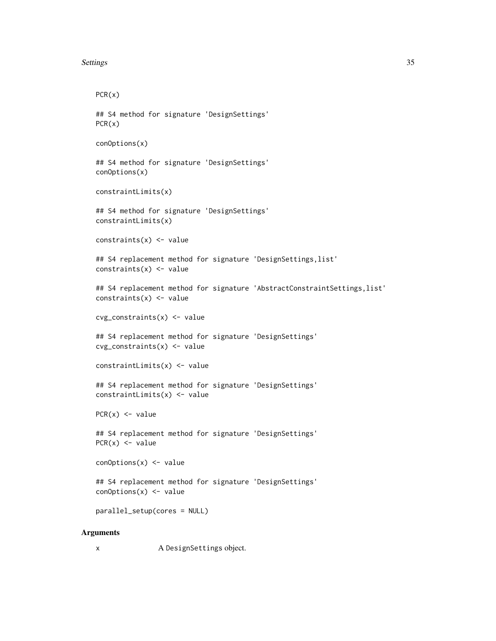```
Settings 35
```

```
PCR(x)
## S4 method for signature 'DesignSettings'
PCR(x)
conOptions(x)
## S4 method for signature 'DesignSettings'
conOptions(x)
constraintLimits(x)
## S4 method for signature 'DesignSettings'
constraintLimits(x)
constraints(x) <- value
## S4 replacement method for signature 'DesignSettings, list'
constraints(x) <- value
## S4 replacement method for signature 'AbstractConstraintSettings, list'
constraints(x) <- value
cvg_constraints(x) <- value
## S4 replacement method for signature 'DesignSettings'
cvg_constraints(x) <- value
constraintLimits(x) <- value
## S4 replacement method for signature 'DesignSettings'
constraintLimits(x) <- value
PCR(x) < - value## S4 replacement method for signature 'DesignSettings'
PCR(x) <- value
conOptions(x) <- value
## S4 replacement method for signature 'DesignSettings'
conOptions(x) <- value
parallel_setup(cores = NULL)
```
## Arguments

x A DesignSettings object.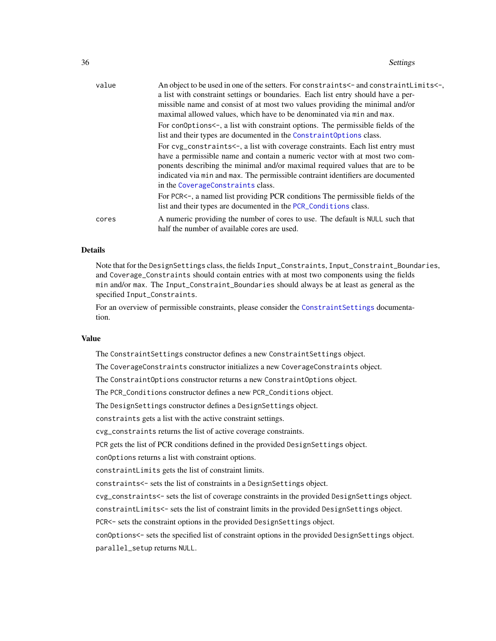<span id="page-35-0"></span>

| value | An object to be used in one of the setters. For constraints <- and constraint Limits <-,<br>a list with constraint settings or boundaries. Each list entry should have a per-<br>missible name and consist of at most two values providing the minimal and/or<br>maximal allowed values, which have to be denominated via min and max.                              |
|-------|---------------------------------------------------------------------------------------------------------------------------------------------------------------------------------------------------------------------------------------------------------------------------------------------------------------------------------------------------------------------|
|       | For conoptions <-, a list with constraint options. The permissible fields of the<br>list and their types are documented in the Constraint Options class.                                                                                                                                                                                                            |
|       | For cvg_constraints<-, a list with coverage constraints. Each list entry must<br>have a permissible name and contain a numeric vector with at most two com-<br>ponents describing the minimal and/or maximal required values that are to be<br>indicated via min and max. The permissible contraint identifiers are documented<br>in the CoverageConstraints class. |
|       | For PCR<-, a named list providing PCR conditions The permissible fields of the<br>list and their types are documented in the PCR_Conditions class.                                                                                                                                                                                                                  |
| cores | A numeric providing the number of cores to use. The default is NULL such that<br>half the number of available cores are used.                                                                                                                                                                                                                                       |

## Details

Note that for the DesignSettings class, the fields Input\_Constraints, Input\_Constraint\_Boundaries, and Coverage\_Constraints should contain entries with at most two components using the fields min and/or max. The Input\_Constraint\_Boundaries should always be at least as general as the specified Input\_Constraints.

For an overview of permissible constraints, please consider the [ConstraintSettings](#page-32-1) documentation.

## Value

The ConstraintSettings constructor defines a new ConstraintSettings object.

The CoverageConstraints constructor initializes a new CoverageConstraints object.

The ConstraintOptions constructor returns a new ConstraintOptions object.

The PCR\_Conditions constructor defines a new PCR\_Conditions object.

The DesignSettings constructor defines a DesignSettings object.

constraints gets a list with the active constraint settings.

cvg\_constraints returns the list of active coverage constraints.

PCR gets the list of PCR conditions defined in the provided DesignSettings object.

conOptions returns a list with constraint options.

constraintLimits gets the list of constraint limits.

constraints<- sets the list of constraints in a DesignSettings object.

cvg\_constraints<- sets the list of coverage constraints in the provided DesignSettings object.

constraintLimits<- sets the list of constraint limits in the provided DesignSettings object.

PCR<- sets the constraint options in the provided DesignSettings object.

conOptions<- sets the specified list of constraint options in the provided DesignSettings object. parallel\_setup returns NULL.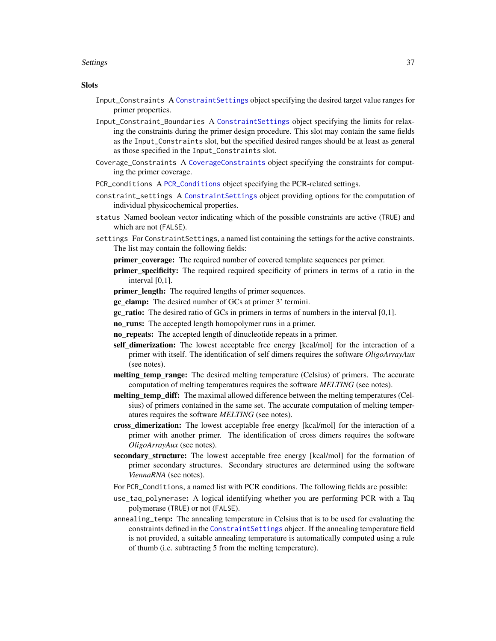#### <span id="page-36-0"></span>Settings 37

#### **Slots**

- Input\_Constraints A [ConstraintSettings](#page-32-1) object specifying the desired target value ranges for primer properties.
- Input\_Constraint\_Boundaries A [ConstraintSettings](#page-32-1) object specifying the limits for relaxing the constraints during the primer design procedure. This slot may contain the same fields as the Input\_Constraints slot, but the specified desired ranges should be at least as general as those specified in the Input\_Constraints slot.
- Coverage\_Constraints A [CoverageConstraints](#page-32-1) object specifying the constraints for computing the primer coverage.
- PCR\_conditions A [PCR\\_Conditions](#page-32-1) object specifying the PCR-related settings.
- constraint\_settings A [ConstraintSettings](#page-32-1) object providing options for the computation of individual physicochemical properties.
- status Named boolean vector indicating which of the possible constraints are active (TRUE) and which are not (FALSE).
- settings For ConstraintSettings, a named list containing the settings for the active constraints. The list may contain the following fields:
	- **primer** coverage: The required number of covered template sequences per primer.
	- primer\_specificity: The required required specificity of primers in terms of a ratio in the interval [0,1].
	- primer\_length: The required lengths of primer sequences.
	- gc\_clamp: The desired number of GCs at primer 3' termini.
	- gc\_ratio: The desired ratio of GCs in primers in terms of numbers in the interval [0,1].
	- no\_runs: The accepted length homopolymer runs in a primer.
	- no\_repeats: The accepted length of dinucleotide repeats in a primer.
	- self\_dimerization: The lowest acceptable free energy [kcal/mol] for the interaction of a primer with itself. The identification of self dimers requires the software *OligoArrayAux* (see notes).
	- melting temp range: The desired melting temperature (Celsius) of primers. The accurate computation of melting temperatures requires the software *MELTING* (see notes).
	- melting temp diff: The maximal allowed difference between the melting temperatures (Celsius) of primers contained in the same set. The accurate computation of melting temperatures requires the software *MELTING* (see notes).
	- cross\_dimerization: The lowest acceptable free energy [kcal/mol] for the interaction of a primer with another primer. The identification of cross dimers requires the software *OligoArrayAux* (see notes).
	- secondary\_structure: The lowest acceptable free energy [kcal/mol] for the formation of primer secondary structures. Secondary structures are determined using the software *ViennaRNA* (see notes).
	- For PCR\_Conditions, a named list with PCR conditions. The following fields are possible:
	- use\_taq\_polymerase: A logical identifying whether you are performing PCR with a Taq polymerase (TRUE) or not (FALSE).
	- annealing\_temp: The annealing temperature in Celsius that is to be used for evaluating the constraints defined in the [ConstraintSettings](#page-32-1) object. If the annealing temperature field is not provided, a suitable annealing temperature is automatically computed using a rule of thumb (i.e. subtracting 5 from the melting temperature).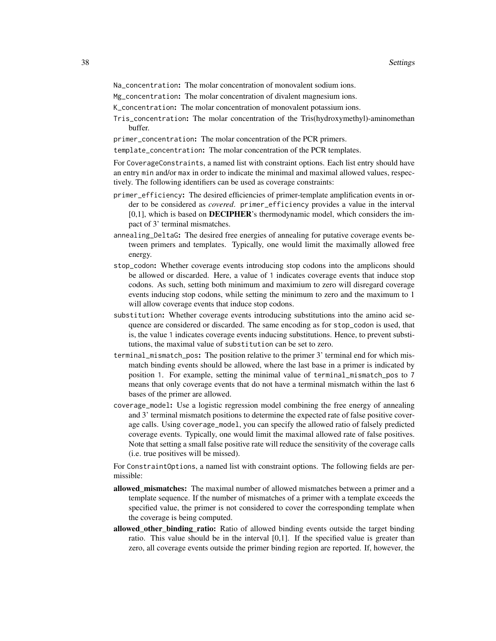- Na\_concentration: The molar concentration of monovalent sodium ions.
- Mg\_concentration: The molar concentration of divalent magnesium ions.
- K\_concentration: The molar concentration of monovalent potassium ions.
- Tris\_concentration: The molar concentration of the Tris(hydroxymethyl)-aminomethan buffer.
- primer\_concentration: The molar concentration of the PCR primers.

template\_concentration: The molar concentration of the PCR templates.

For CoverageConstraints, a named list with constraint options. Each list entry should have an entry min and/or max in order to indicate the minimal and maximal allowed values, respectively. The following identifiers can be used as coverage constraints:

- primer\_efficiency: The desired efficiencies of primer-template amplification events in order to be considered as *covered*. primer\_efficiency provides a value in the interval [0,1], which is based on DECIPHER's thermodynamic model, which considers the impact of 3' terminal mismatches.
- annealing\_DeltaG: The desired free energies of annealing for putative coverage events between primers and templates. Typically, one would limit the maximally allowed free energy.
- stop\_codon: Whether coverage events introducing stop codons into the amplicons should be allowed or discarded. Here, a value of 1 indicates coverage events that induce stop codons. As such, setting both minimum and maximium to zero will disregard coverage events inducing stop codons, while setting the minimum to zero and the maximum to 1 will allow coverage events that induce stop codons.
- substitution: Whether coverage events introducing substitutions into the amino acid sequence are considered or discarded. The same encoding as for stop\_codon is used, that is, the value 1 indicates coverage events inducing substitutions. Hence, to prevent substitutions, the maximal value of substitution can be set to zero.
- terminal\_mismatch\_pos: The position relative to the primer 3' terminal end for which mismatch binding events should be allowed, where the last base in a primer is indicated by position 1. For example, setting the minimal value of terminal\_mismatch\_pos to 7 means that only coverage events that do not have a terminal mismatch within the last 6 bases of the primer are allowed.
- coverage\_model: Use a logistic regression model combining the free energy of annealing and 3' terminal mismatch positions to determine the expected rate of false positive coverage calls. Using coverage\_model, you can specify the allowed ratio of falsely predicted coverage events. Typically, one would limit the maximal allowed rate of false positives. Note that setting a small false positive rate will reduce the sensitivity of the coverage calls (i.e. true positives will be missed).

For ConstraintOptions, a named list with constraint options. The following fields are permissible:

- allowed\_mismatches: The maximal number of allowed mismatches between a primer and a template sequence. If the number of mismatches of a primer with a template exceeds the specified value, the primer is not considered to cover the corresponding template when the coverage is being computed.
- allowed\_other\_binding\_ratio: Ratio of allowed binding events outside the target binding ratio. This value should be in the interval [0,1]. If the specified value is greater than zero, all coverage events outside the primer binding region are reported. If, however, the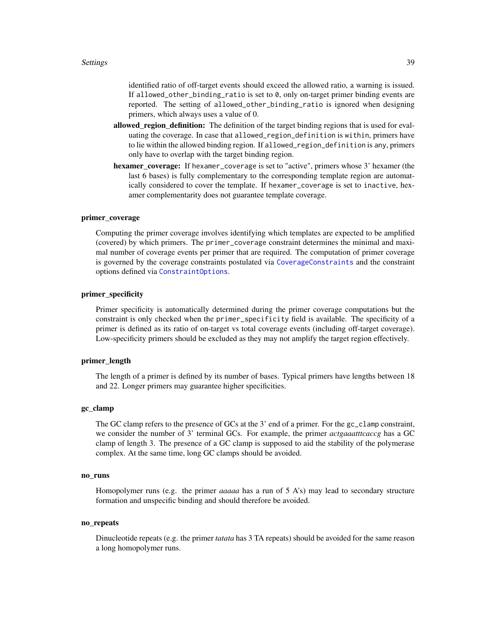<span id="page-38-0"></span>identified ratio of off-target events should exceed the allowed ratio, a warning is issued. If allowed\_other\_binding\_ratio is set to 0, only on-target primer binding events are reported. The setting of allowed\_other\_binding\_ratio is ignored when designing primers, which always uses a value of 0.

- allowed region definition: The definition of the target binding regions that is used for evaluating the coverage. In case that allowed\_region\_definition is within, primers have to lie within the allowed binding region. If allowed\_region\_definition is any, primers only have to overlap with the target binding region.
- hexamer coverage: If hexamer\_coverage is set to "active", primers whose 3' hexamer (the last 6 bases) is fully complementary to the corresponding template region are automatically considered to cover the template. If hexamer\_coverage is set to inactive, hexamer complementarity does not guarantee template coverage.

## primer\_coverage

Computing the primer coverage involves identifying which templates are expected to be amplified (covered) by which primers. The primer\_coverage constraint determines the minimal and maximal number of coverage events per primer that are required. The computation of primer coverage is governed by the coverage constraints postulated via [CoverageConstraints](#page-32-1) and the constraint options defined via [ConstraintOptions](#page-32-1).

#### primer\_specificity

Primer specificity is automatically determined during the primer coverage computations but the constraint is only checked when the primer\_specificity field is available. The specificity of a primer is defined as its ratio of on-target vs total coverage events (including off-target coverage). Low-specificity primers should be excluded as they may not amplify the target region effectively.

## primer\_length

The length of a primer is defined by its number of bases. Typical primers have lengths between 18 and 22. Longer primers may guarantee higher specificities.

## gc\_clamp

The GC clamp refers to the presence of GCs at the 3' end of a primer. For the gc\_clamp constraint, we consider the number of 3' terminal GCs. For example, the primer *actgaaatttcaccg* has a GC clamp of length 3. The presence of a GC clamp is supposed to aid the stability of the polymerase complex. At the same time, long GC clamps should be avoided.

#### no\_runs

Homopolymer runs (e.g. the primer *aaaaa* has a run of 5 A's) may lead to secondary structure formation and unspecific binding and should therefore be avoided.

#### no\_repeats

Dinucleotide repeats (e.g. the primer *tatata* has 3 TA repeats) should be avoided for the same reason a long homopolymer runs.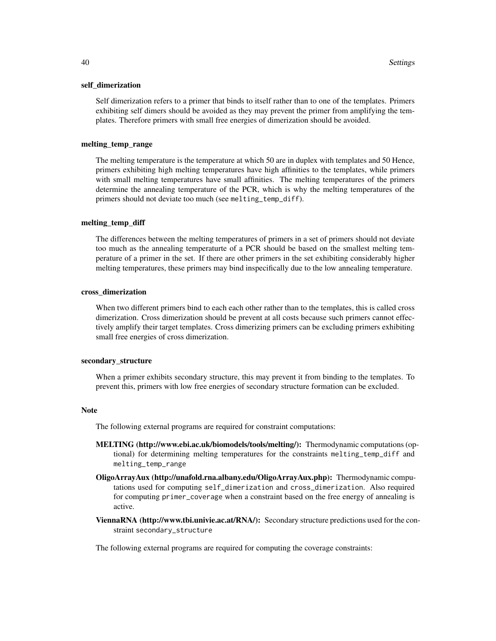#### self\_dimerization

Self dimerization refers to a primer that binds to itself rather than to one of the templates. Primers exhibiting self dimers should be avoided as they may prevent the primer from amplifying the templates. Therefore primers with small free energies of dimerization should be avoided.

#### melting\_temp\_range

The melting temperature is the temperature at which 50 are in duplex with templates and 50 Hence, primers exhibiting high melting temperatures have high affinities to the templates, while primers with small melting temperatures have small affinities. The melting temperatures of the primers determine the annealing temperature of the PCR, which is why the melting temperatures of the primers should not deviate too much (see melting\_temp\_diff).

#### melting\_temp\_diff

The differences between the melting temperatures of primers in a set of primers should not deviate too much as the annealing temperaturte of a PCR should be based on the smallest melting temperature of a primer in the set. If there are other primers in the set exhibiting considerably higher melting temperatures, these primers may bind inspecifically due to the low annealing temperature.

#### cross\_dimerization

When two different primers bind to each each other rather than to the templates, this is called cross dimerization. Cross dimerization should be prevent at all costs because such primers cannot effectively amplify their target templates. Cross dimerizing primers can be excluding primers exhibiting small free energies of cross dimerization.

#### secondary\_structure

When a primer exhibits secondary structure, this may prevent it from binding to the templates. To prevent this, primers with low free energies of secondary structure formation can be excluded.

#### Note

The following external programs are required for constraint computations:

- MELTING (http://www.ebi.ac.uk/biomodels/tools/melting/): Thermodynamic computations (optional) for determining melting temperatures for the constraints melting\_temp\_diff and melting\_temp\_range
- OligoArrayAux (http://unafold.rna.albany.edu/OligoArrayAux.php): Thermodynamic computations used for computing self\_dimerization and cross\_dimerization. Also required for computing primer\_coverage when a constraint based on the free energy of annealing is active.
- ViennaRNA (http://www.tbi.univie.ac.at/RNA/): Secondary structure predictions used for the constraint secondary\_structure

The following external programs are required for computing the coverage constraints: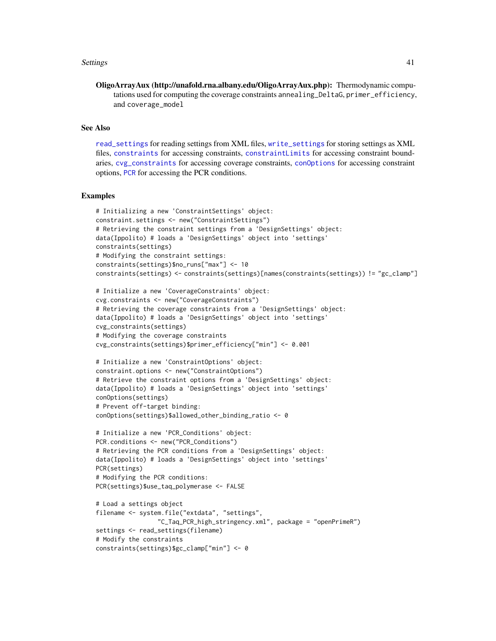#### <span id="page-40-0"></span>Settings 41

OligoArrayAux (http://unafold.rna.albany.edu/OligoArrayAux.php): Thermodynamic computations used for computing the coverage constraints annealing\_DeltaG, primer\_efficiency, and coverage\_model

## See Also

[read\\_settings](#page-7-1) for reading settings from XML files, [write\\_settings](#page-13-1) for storing settings as XML files, [constraints](#page-32-1) for accessing constraints, [constraintLimits](#page-32-1) for accessing constraint boundaries, [cvg\\_constraints](#page-32-1) for accessing coverage constraints, [conOptions](#page-32-1) for accessing constraint options, [PCR](#page-32-1) for accessing the PCR conditions.

#### Examples

```
# Initializing a new 'ConstraintSettings' object:
constraint.settings <- new("ConstraintSettings")
# Retrieving the constraint settings from a 'DesignSettings' object:
data(Ippolito) # loads a 'DesignSettings' object into 'settings'
constraints(settings)
# Modifying the constraint settings:
constraints(settings)$no_runs["max"] <- 10
constraints(settings) <- constraints(settings)[names(constraints(settings)) != "gc_clamp"]
```

```
# Initialize a new 'CoverageConstraints' object:
cvg.constraints <- new("CoverageConstraints")
# Retrieving the coverage constraints from a 'DesignSettings' object:
data(Ippolito) # loads a 'DesignSettings' object into 'settings'
cvg_constraints(settings)
# Modifying the coverage constraints
cvg_constraints(settings)$primer_efficiency["min"] <- 0.001
```

```
# Initialize a new 'ConstraintOptions' object:
constraint.options <- new("ConstraintOptions")
# Retrieve the constraint options from a 'DesignSettings' object:
data(Ippolito) # loads a 'DesignSettings' object into 'settings'
conOptions(settings)
# Prevent off-target binding:
conOptions(settings)$allowed_other_binding_ratio <- 0
```

```
# Initialize a new 'PCR_Conditions' object:
PCR.conditions <- new("PCR_Conditions")
# Retrieving the PCR conditions from a 'DesignSettings' object:
data(Ippolito) # loads a 'DesignSettings' object into 'settings'
PCR(settings)
# Modifying the PCR conditions:
PCR(settings)$use_taq_polymerase <- FALSE
```

```
# Load a settings object
filename <- system.file("extdata", "settings",
                 "C_Taq_PCR_high_stringency.xml", package = "openPrimeR")
settings <- read_settings(filename)
# Modify the constraints
constraints(settings)$gc_clamp["min"] <- 0
```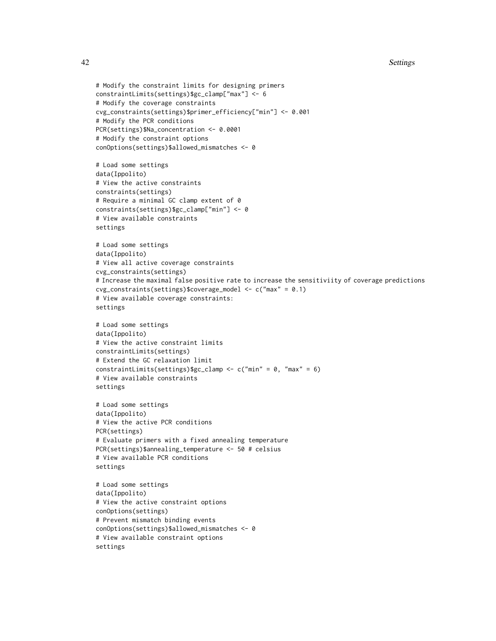```
# Modify the constraint limits for designing primers
constraintLimits(settings)$gc_clamp["max"] <- 6
# Modify the coverage constraints
cvg_constraints(settings)$primer_efficiency["min"] <- 0.001
# Modify the PCR conditions
PCR(settings)$Na_concentration <- 0.0001
# Modify the constraint options
conOptions(settings)$allowed_mismatches <- 0
# Load some settings
data(Ippolito)
# View the active constraints
constraints(settings)
# Require a minimal GC clamp extent of 0
constraints(settings)$gc_clamp["min"] <- 0
# View available constraints
settings
# Load some settings
data(Ippolito)
# View all active coverage constraints
cvg_constraints(settings)
# Increase the maximal false positive rate to increase the sensitiviity of coverage predictions
cvg_constraints(settings)$coverage_model <- c("max" = 0.1)
# View available coverage constraints:
settings
# Load some settings
data(Ippolito)
# View the active constraint limits
constraintLimits(settings)
# Extend the GC relaxation limit
constraintLimits(settings)$gc_clamp <- c("min" = 0, "max" = 6)
# View available constraints
settings
# Load some settings
data(Ippolito)
# View the active PCR conditions
PCR(settings)
# Evaluate primers with a fixed annealing temperature
PCR(settings)$annealing_temperature <- 50 # celsius
# View available PCR conditions
settings
# Load some settings
data(Ippolito)
# View the active constraint options
conOptions(settings)
# Prevent mismatch binding events
conOptions(settings)$allowed_mismatches <- 0
# View available constraint options
settings
```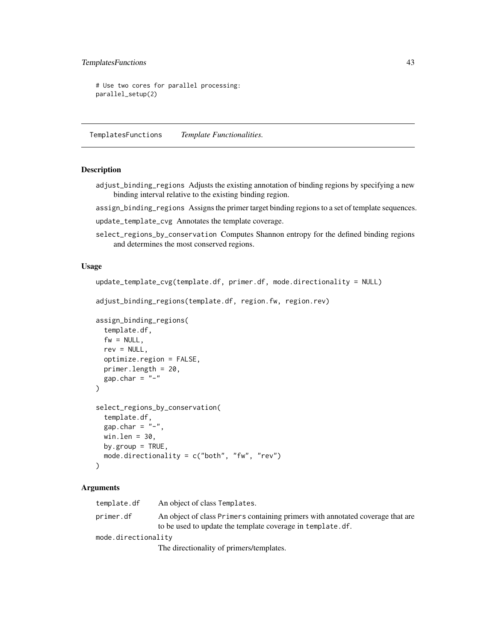## <span id="page-42-0"></span>TemplatesFunctions 43

```
# Use two cores for parallel processing:
parallel_setup(2)
```
TemplatesFunctions *Template Functionalities.*

#### <span id="page-42-1"></span>Description

adjust\_binding\_regions Adjusts the existing annotation of binding regions by specifying a new binding interval relative to the existing binding region.

assign\_binding\_regions Assigns the primer target binding regions to a set of template sequences.

- update\_template\_cvg Annotates the template coverage.
- select\_regions\_by\_conservation Computes Shannon entropy for the defined binding regions and determines the most conserved regions.

#### Usage

```
update_template_cvg(template.df, primer.df, mode.directionality = NULL)
```

```
adjust_binding_regions(template.df, region.fw, region.rev)
```

```
assign_binding_regions(
  template.df,
 fw = NULL.
 rev = NULL,optimize.region = FALSE,
 primer.length = 20,
 gap.char = "-"
)
select_regions_by_conservation(
  template.df,
  gap.char = "-"
 win.len = 30,
 by.group = TRUE,
 mode.directionality = c("both", "fw", "rev")
)
```
## Arguments

| template.df         | An object of class Templates.                                                                                                                                                                                                                                                                        |  |
|---------------------|------------------------------------------------------------------------------------------------------------------------------------------------------------------------------------------------------------------------------------------------------------------------------------------------------|--|
| primer.df           | An object of class Primers containing primers with annotated coverage that are<br>to be used to update the template coverage in template. df.                                                                                                                                                        |  |
| mode.directionality |                                                                                                                                                                                                                                                                                                      |  |
|                     | $\mathbf{F}^{\mathbf{r}}$ and $\mathbf{F}^{\mathbf{r}}$ and $\mathbf{F}^{\mathbf{r}}$ are a set of $\mathbf{F}^{\mathbf{r}}$ and $\mathbf{F}^{\mathbf{r}}$ are a set of $\mathbf{F}^{\mathbf{r}}$ and $\mathbf{F}^{\mathbf{r}}$ are a set of $\mathbf{F}^{\mathbf{r}}$ and $\mathbf{F}^{\mathbf{r}}$ |  |

The directionality of primers/templates.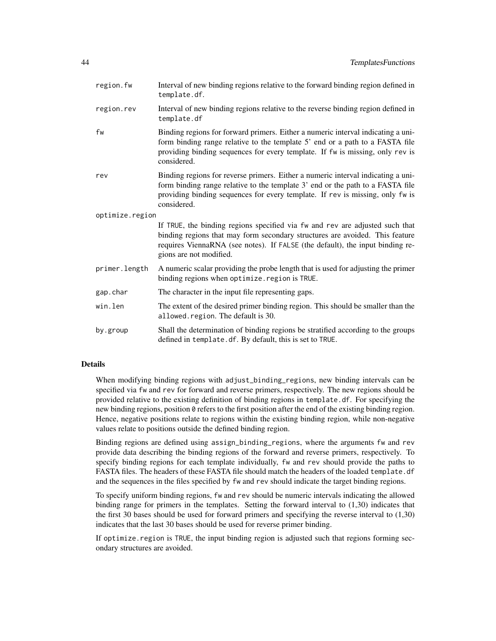| region.fw       | Interval of new binding regions relative to the forward binding region defined in<br>template.df.                                                                                                                                                                        |
|-----------------|--------------------------------------------------------------------------------------------------------------------------------------------------------------------------------------------------------------------------------------------------------------------------|
| region.rev      | Interval of new binding regions relative to the reverse binding region defined in<br>template.df                                                                                                                                                                         |
| fw              | Binding regions for forward primers. Either a numeric interval indicating a uni-<br>form binding range relative to the template 5' end or a path to a FASTA file<br>providing binding sequences for every template. If fw is missing, only rev is<br>considered.         |
| rev             | Binding regions for reverse primers. Either a numeric interval indicating a uni-<br>form binding range relative to the template 3' end or the path to a FASTA file<br>providing binding sequences for every template. If rev is missing, only fw is<br>considered.       |
| optimize.region |                                                                                                                                                                                                                                                                          |
|                 | If TRUE, the binding regions specified via fw and rev are adjusted such that<br>binding regions that may form secondary structures are avoided. This feature<br>requires ViennaRNA (see notes). If FALSE (the default), the input binding re-<br>gions are not modified. |
| primer.length   | A numeric scalar providing the probe length that is used for adjusting the primer<br>binding regions when optimize. region is TRUE.                                                                                                                                      |
| gap.char        | The character in the input file representing gaps.                                                                                                                                                                                                                       |
| win.len         | The extent of the desired primer binding region. This should be smaller than the<br>allowed.region. The default is 30.                                                                                                                                                   |
| by.group        | Shall the determination of binding regions be stratified according to the groups<br>defined in template.df. By default, this is set to TRUE.                                                                                                                             |

## Details

When modifying binding regions with adjust\_binding\_regions, new binding intervals can be specified via fw and rev for forward and reverse primers, respectively. The new regions should be provided relative to the existing definition of binding regions in template.df. For specifying the new binding regions, position 0 refers to the first position after the end of the existing binding region. Hence, negative positions relate to regions within the existing binding region, while non-negative values relate to positions outside the defined binding region.

Binding regions are defined using assign\_binding\_regions, where the arguments fw and rev provide data describing the binding regions of the forward and reverse primers, respectively. To specify binding regions for each template individually, fw and rev should provide the paths to FASTA files. The headers of these FASTA file should match the headers of the loaded template.df and the sequences in the files specified by fw and rev should indicate the target binding regions.

To specify uniform binding regions, fw and rev should be numeric intervals indicating the allowed binding range for primers in the templates. Setting the forward interval to (1,30) indicates that the first 30 bases should be used for forward primers and specifying the reverse interval to (1,30) indicates that the last 30 bases should be used for reverse primer binding.

If optimize.region is TRUE, the input binding region is adjusted such that regions forming secondary structures are avoided.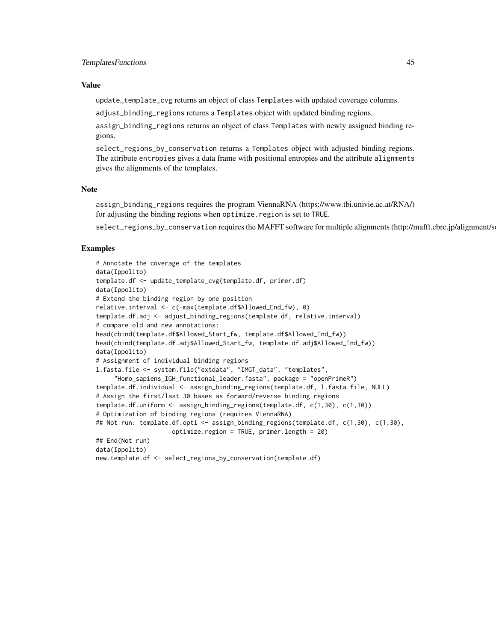## Value

update\_template\_cvg returns an object of class Templates with updated coverage columns.

adjust\_binding\_regions returns a Templates object with updated binding regions.

assign\_binding\_regions returns an object of class Templates with newly assigned binding regions.

select\_regions\_by\_conservation returns a Templates object with adjusted binding regions. The attribute entropies gives a data frame with positional entropies and the attribute alignments gives the alignments of the templates.

## **Note**

assign\_binding\_regions requires the program ViennaRNA (https://www.tbi.univie.ac.at/RNA/) for adjusting the binding regions when optimize.region is set to TRUE.

select\_regions\_by\_conservation requires the MAFFT software for multiple alignments (http://mafft.cbrc.jp/alignment/s

## Examples

```
# Annotate the coverage of the templates
data(Ippolito)
template.df <- update_template_cvg(template.df, primer.df)
data(Ippolito)
# Extend the binding region by one position
relative.interval <- c(-max(template.df$Allowed_End_fw), 0)
template.df.adj <- adjust_binding_regions(template.df, relative.interval)
# compare old and new annotations:
head(cbind(template.df$Allowed_Start_fw, template.df$Allowed_End_fw))
head(cbind(template.df.adj$Allowed_Start_fw, template.df.adj$Allowed_End_fw))
data(Ippolito)
# Assignment of individual binding regions
l.fasta.file <- system.file("extdata", "IMGT_data", "templates",
     "Homo_sapiens_IGH_functional_leader.fasta", package = "openPrimeR")
template.df.individual <- assign_binding_regions(template.df, l.fasta.file, NULL)
# Assign the first/last 30 bases as forward/reverse binding regions
template.df.uniform <- assign_binding_regions(template.df, c(1,30), c(1,30))
# Optimization of binding regions (requires ViennaRNA)
## Not run: template.df.opti <- assign_binding_regions(template.df, c(1,30), c(1,30),
                     optimize.region = TRUE, primer.length = 20)
## End(Not run)
data(Ippolito)
new.template.df <- select_regions_by_conservation(template.df)
```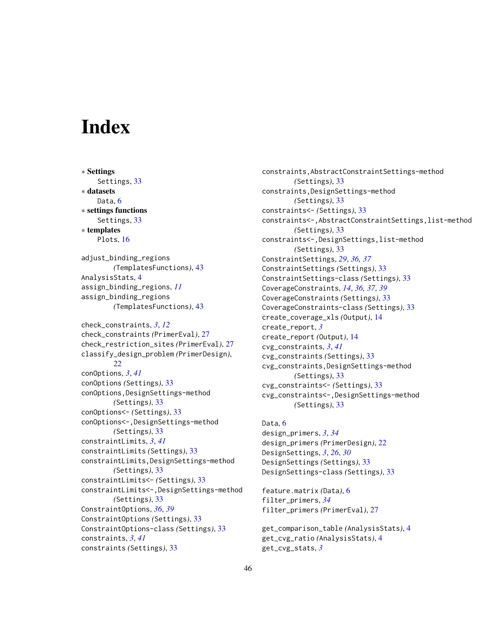# <span id="page-45-0"></span>**Index**

∗ Settings Settings, [33](#page-32-0) ∗ datasets Data<sub>.</sub>[6](#page-5-0) ∗ settings functions Settings, [33](#page-32-0) ∗ templates Plots, [16](#page-15-0) adjust\_binding\_regions *(*TemplatesFunctions*)*, [43](#page-42-0) AnalysisStats, [4](#page-3-0) assign\_binding\_regions, *[11](#page-10-0)* assign\_binding\_regions *(*TemplatesFunctions*)*, [43](#page-42-0) check\_constraints, *[3](#page-2-0)*, *[12](#page-11-0)* check\_constraints *(*PrimerEval*)*, [27](#page-26-0) check\_restriction\_sites *(*PrimerEval*)*, [27](#page-26-0) classify\_design\_problem *(*PrimerDesign*)*, [22](#page-21-0) conOptions, *[3](#page-2-0)*, *[41](#page-40-0)* conOptions *(*Settings*)*, [33](#page-32-0) conOptions,DesignSettings-method *(*Settings*)*, [33](#page-32-0) conOptions<- *(*Settings*)*, [33](#page-32-0) conOptions<-,DesignSettings-method *(*Settings*)*, [33](#page-32-0) constraintLimits, *[3](#page-2-0)*, *[41](#page-40-0)* constraintLimits *(*Settings*)*, [33](#page-32-0) constraintLimits,DesignSettings-method *(*Settings*)*, [33](#page-32-0) constraintLimits<- *(*Settings*)*, [33](#page-32-0) constraintLimits<-,DesignSettings-method *(*Settings*)*, [33](#page-32-0) ConstraintOptions, *[36](#page-35-0)*, *[39](#page-38-0)* ConstraintOptions *(*Settings*)*, [33](#page-32-0) ConstraintOptions-class *(*Settings*)*, [33](#page-32-0) constraints, *[3](#page-2-0)*, *[41](#page-40-0)* constraints *(*Settings*)*, [33](#page-32-0)

constraints,AbstractConstraintSettings-method *(*Settings*)*, [33](#page-32-0) constraints,DesignSettings-method *(*Settings*)*, [33](#page-32-0) constraints<- *(*Settings*)*, [33](#page-32-0) constraints<-,AbstractConstraintSettings,list-method *(*Settings*)*, [33](#page-32-0) constraints<-,DesignSettings,list-method *(*Settings*)*, [33](#page-32-0) ConstraintSettings, *[29](#page-28-0)*, *[36,](#page-35-0) [37](#page-36-0)* ConstraintSettings *(*Settings*)*, [33](#page-32-0) ConstraintSettings-class *(*Settings*)*, [33](#page-32-0) CoverageConstraints, *[14](#page-13-0)*, *[36,](#page-35-0) [37](#page-36-0)*, *[39](#page-38-0)* CoverageConstraints *(*Settings*)*, [33](#page-32-0) CoverageConstraints-class *(*Settings*)*, [33](#page-32-0) create\_coverage\_xls *(*Output*)*, [14](#page-13-0) create\_report, *[3](#page-2-0)* create\_report *(*Output*)*, [14](#page-13-0) cvg\_constraints, *[3](#page-2-0)*, *[41](#page-40-0)* cvg\_constraints *(*Settings*)*, [33](#page-32-0) cvg\_constraints,DesignSettings-method *(*Settings*)*, [33](#page-32-0) cvg\_constraints<- *(*Settings*)*, [33](#page-32-0) cvg\_constraints<-,DesignSettings-method *(*Settings*)*, [33](#page-32-0)

Data, [6](#page-5-0) design\_primers, *[3](#page-2-0)*, *[34](#page-33-0)* design\_primers *(*PrimerDesign*)*, [22](#page-21-0) DesignSettings, *[3](#page-2-0)*, *[26](#page-25-0)*, *[30](#page-29-0)* DesignSettings *(*Settings*)*, [33](#page-32-0) DesignSettings-class *(*Settings*)*, [33](#page-32-0)

feature.matrix *(*Data*)*, [6](#page-5-0) filter\_primers, *[34](#page-33-0)* filter\_primers *(*PrimerEval*)*, [27](#page-26-0)

```
get_comparison_table (AnalysisStats), 4
get_cvg_ratio (AnalysisStats), 4
get_cvg_stats, 3
```